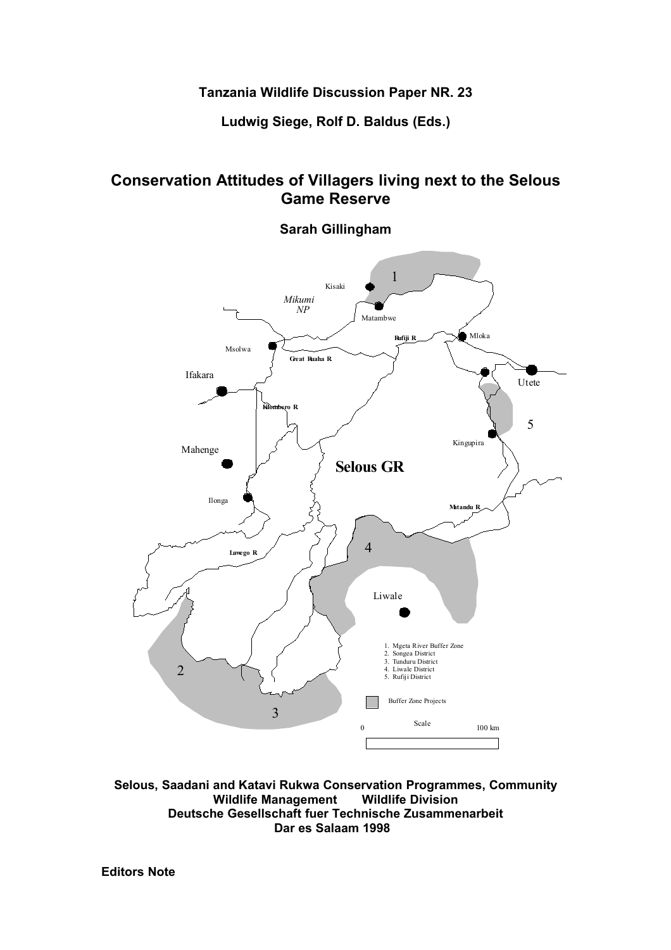# **Tanzania Wildlife Discussion Paper NR. 23**

**Ludwig Siege, Rolf D. Baldus (Eds.)**

# **Conservation Attitudes of Villagers living next to the Selous Game Reserve**

# **Sarah Gillingham**



**Selous, Saadani and Katavi Rukwa Conservation Programmes, Community Wildlife Management Wildlife Division Deutsche Gesellschaft fuer Technische Zusammenarbeit Dar es Salaam 1998** 

**Editors Note**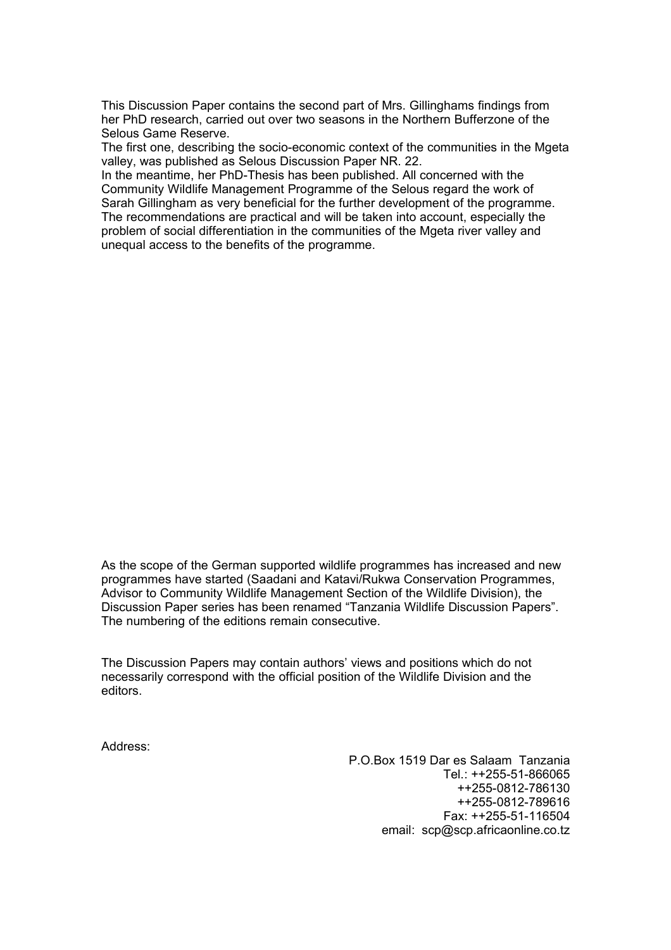This Discussion Paper contains the second part of Mrs. Gillinghams findings from her PhD research, carried out over two seasons in the Northern Bufferzone of the Selous Game Reserve.

The first one, describing the socio-economic context of the communities in the Mgeta valley, was published as Selous Discussion Paper NR. 22.

In the meantime, her PhD-Thesis has been published. All concerned with the Community Wildlife Management Programme of the Selous regard the work of Sarah Gillingham as very beneficial for the further development of the programme. The recommendations are practical and will be taken into account, especially the problem of social differentiation in the communities of the Mgeta river valley and unequal access to the benefits of the programme.

As the scope of the German supported wildlife programmes has increased and new programmes have started (Saadani and Katavi/Rukwa Conservation Programmes, Advisor to Community Wildlife Management Section of the Wildlife Division), the Discussion Paper series has been renamed "Tanzania Wildlife Discussion Papers". The numbering of the editions remain consecutive.

The Discussion Papers may contain authors' views and positions which do not necessarily correspond with the official position of the Wildlife Division and the editors.

Address:

P.O.Box 1519 Dar es Salaam Tanzania Tel.: ++255-51-866065 ++255-0812-786130 ++255-0812-789616 Fax: ++255-51-116504 email: scp@scp.africaonline.co.tz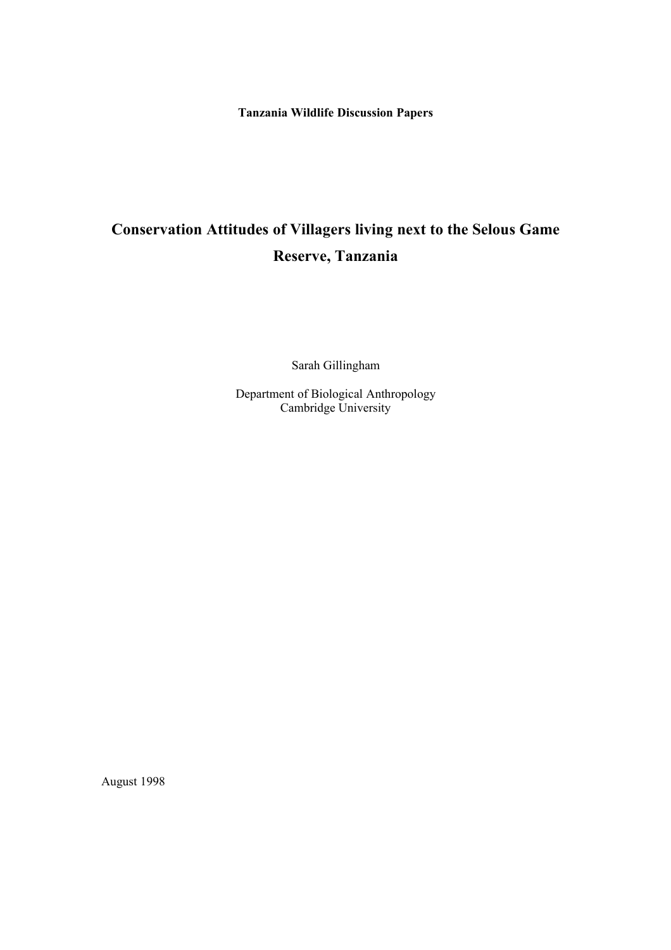**Tanzania Wildlife Discussion Papers**

# **Conservation Attitudes of Villagers living next to the Selous Game Reserve, Tanzania**

Sarah Gillingham

Department of Biological Anthropology Cambridge University

August 1998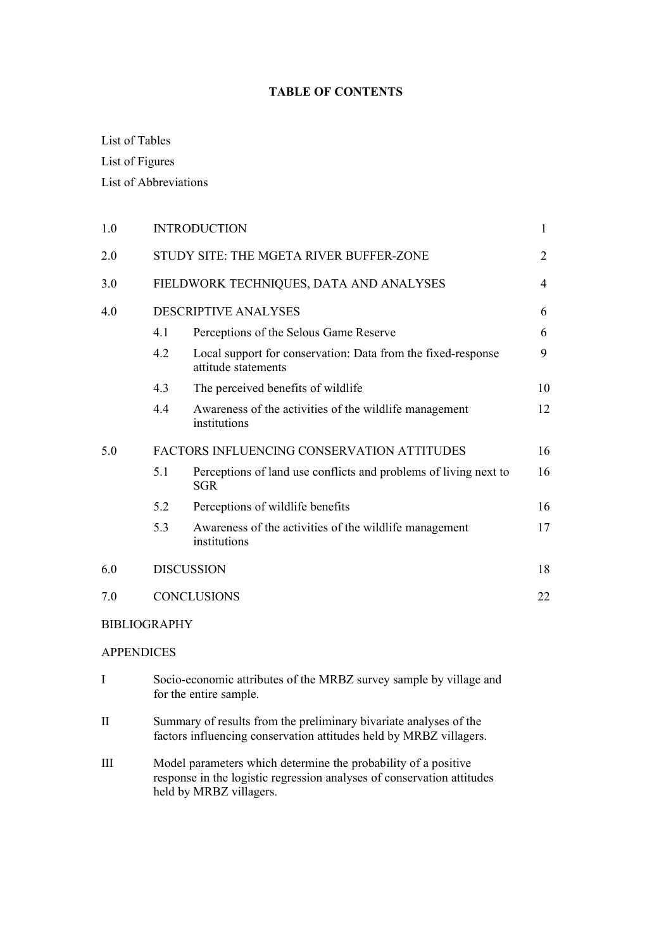# **TABLE OF CONTENTS**

# List of Tables

List of Figures

List of Abbreviations

| 1.0 | <b>INTRODUCTION</b>                     |                                                                                     |    |  |  |  |
|-----|-----------------------------------------|-------------------------------------------------------------------------------------|----|--|--|--|
| 2.0 | STUDY SITE: THE MGETA RIVER BUFFER-ZONE |                                                                                     |    |  |  |  |
| 3.0 | FIELDWORK TECHNIQUES, DATA AND ANALYSES |                                                                                     |    |  |  |  |
| 4.0 |                                         | DESCRIPTIVE ANALYSES                                                                | 6  |  |  |  |
|     | 4.1                                     | Perceptions of the Selous Game Reserve                                              | 6  |  |  |  |
|     | 4.2                                     | Local support for conservation: Data from the fixed-response<br>attitude statements | 9  |  |  |  |
|     | 4.3                                     | The perceived benefits of wildlife                                                  | 10 |  |  |  |
|     | 4.4                                     | Awareness of the activities of the wildlife management<br>institutions              | 12 |  |  |  |
| 5.0 |                                         | FACTORS INFLUENCING CONSERVATION ATTITUDES                                          | 16 |  |  |  |
|     | 5.1                                     | Perceptions of land use conflicts and problems of living next to<br><b>SGR</b>      | 16 |  |  |  |
|     | 5.2                                     | Perceptions of wildlife benefits                                                    | 16 |  |  |  |
|     | 5.3                                     | Awareness of the activities of the wildlife management<br>institutions              | 17 |  |  |  |
| 6.0 |                                         | <b>DISCUSSION</b>                                                                   | 18 |  |  |  |
| 7.0 |                                         | <b>CONCLUSIONS</b>                                                                  | 22 |  |  |  |
|     |                                         |                                                                                     |    |  |  |  |

# BIBLIOGRAPHY

# APPENDICES

- I Socio-economic attributes of the MRBZ survey sample by village and for the entire sample.
- II Summary of results from the preliminary bivariate analyses of the factors influencing conservation attitudes held by MRBZ villagers.
- III Model parameters which determine the probability of a positive response in the logistic regression analyses of conservation attitudes held by MRBZ villagers.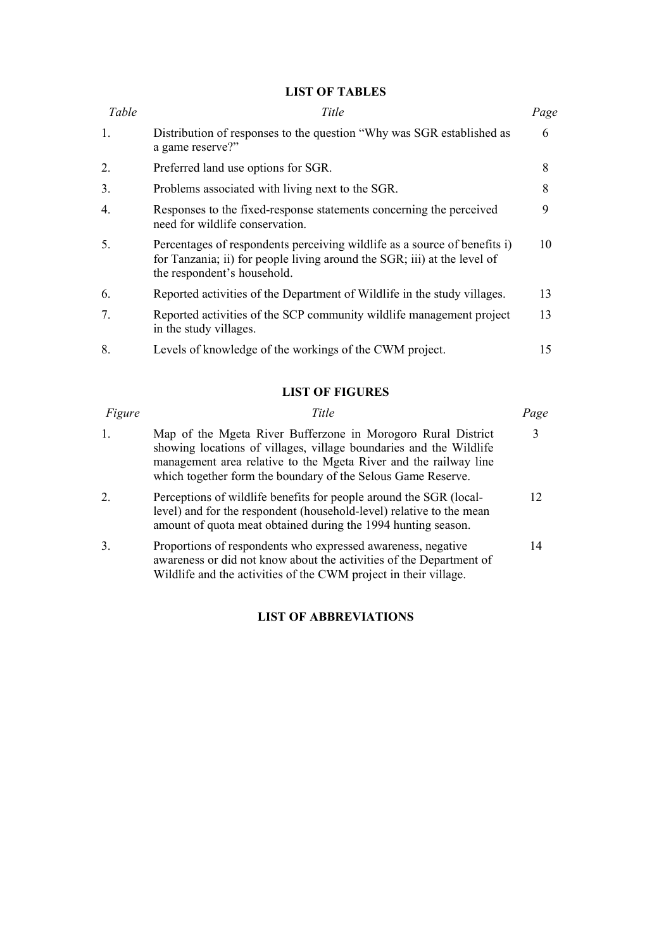## **LIST OF TABLES**

| Table            | Title                                                                                                                                                                                | Page |
|------------------|--------------------------------------------------------------------------------------------------------------------------------------------------------------------------------------|------|
| 1.               | Distribution of responses to the question "Why was SGR established as<br>a game reserve?"                                                                                            | 6    |
| 2.               | Preferred land use options for SGR.                                                                                                                                                  | 8    |
| 3.               | Problems associated with living next to the SGR.                                                                                                                                     | 8    |
| $\overline{4}$ . | Responses to the fixed-response statements concerning the perceived<br>need for wildlife conservation.                                                                               | 9    |
| 5.               | Percentages of respondents perceiving wildlife as a source of benefits i)<br>for Tanzania; ii) for people living around the SGR; iii) at the level of<br>the respondent's household. | 10   |
| 6.               | Reported activities of the Department of Wildlife in the study villages.                                                                                                             | 13   |
| 7.               | Reported activities of the SCP community wildlife management project<br>in the study villages.                                                                                       | 13   |
| 8.               | Levels of knowledge of the workings of the CWM project.                                                                                                                              | 15   |

# **LIST OF FIGURES**

| Figure | Title                                                                                                                                                                                                                                                                  | Page |
|--------|------------------------------------------------------------------------------------------------------------------------------------------------------------------------------------------------------------------------------------------------------------------------|------|
| 1.     | Map of the Mgeta River Bufferzone in Morogoro Rural District<br>showing locations of villages, village boundaries and the Wildlife<br>management area relative to the Mgeta River and the railway line<br>which together form the boundary of the Selous Game Reserve. |      |
| 2      | Perceptions of wildlife benefits for people around the SGR (local-<br>level) and for the respondent (household-level) relative to the mean<br>amount of quota meat obtained during the 1994 hunting season.                                                            | 12.  |
| 3.     | Proportions of respondents who expressed awareness, negative<br>awareness or did not know about the activities of the Department of<br>Wildlife and the activities of the CWM project in their village.                                                                | 14   |

# **LIST OF ABBREVIATIONS**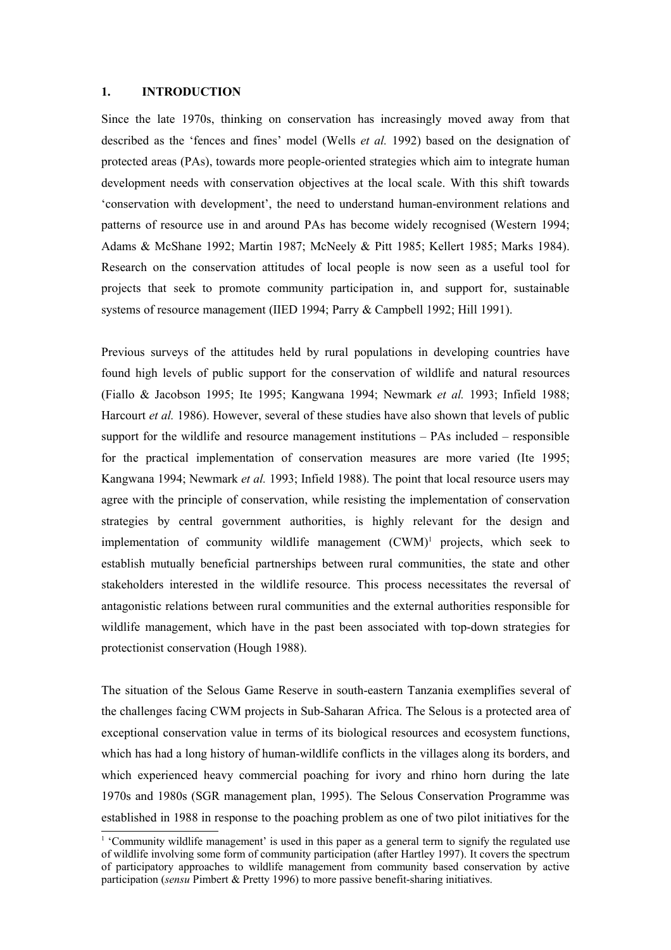#### **1. INTRODUCTION**

Since the late 1970s, thinking on conservation has increasingly moved away from that described as the 'fences and fines' model (Wells *et al.* 1992) based on the designation of protected areas (PAs), towards more people-oriented strategies which aim to integrate human development needs with conservation objectives at the local scale. With this shift towards 'conservation with development', the need to understand human-environment relations and patterns of resource use in and around PAs has become widely recognised (Western 1994; Adams & McShane 1992; Martin 1987; McNeely & Pitt 1985; Kellert 1985; Marks 1984). Research on the conservation attitudes of local people is now seen as a useful tool for projects that seek to promote community participation in, and support for, sustainable systems of resource management (IIED 1994; Parry & Campbell 1992; Hill 1991).

Previous surveys of the attitudes held by rural populations in developing countries have found high levels of public support for the conservation of wildlife and natural resources (Fiallo & Jacobson 1995; Ite 1995; Kangwana 1994; Newmark *et al.* 1993; Infield 1988; Harcourt *et al.* 1986). However, several of these studies have also shown that levels of public support for the wildlife and resource management institutions – PAs included – responsible for the practical implementation of conservation measures are more varied (Ite 1995; Kangwana 1994; Newmark *et al.* 1993; Infield 1988). The point that local resource users may agree with the principle of conservation, while resisting the implementation of conservation strategies by central government authorities, is highly relevant for the design and implementation of community wildlife management (CWM) <sup>1</sup> projects, which seek to establish mutually beneficial partnerships between rural communities, the state and other stakeholders interested in the wildlife resource. This process necessitates the reversal of antagonistic relations between rural communities and the external authorities responsible for wildlife management, which have in the past been associated with top-down strategies for protectionist conservation (Hough 1988).

The situation of the Selous Game Reserve in south-eastern Tanzania exemplifies several of the challenges facing CWM projects in Sub-Saharan Africa. The Selous is a protected area of exceptional conservation value in terms of its biological resources and ecosystem functions, which has had a long history of human-wildlife conflicts in the villages along its borders, and which experienced heavy commercial poaching for ivory and rhino horn during the late 1970s and 1980s (SGR management plan, 1995). The Selous Conservation Programme was established in 1988 in response to the poaching problem as one of two pilot initiatives for the

<sup>1</sup> 'Community wildlife management' is used in this paper as a general term to signify the regulated use of wildlife involving some form of community participation (after Hartley 1997). It covers the spectrum of participatory approaches to wildlife management from community based conservation by active participation (*sensu* Pimbert & Pretty 1996) to more passive benefit-sharing initiatives.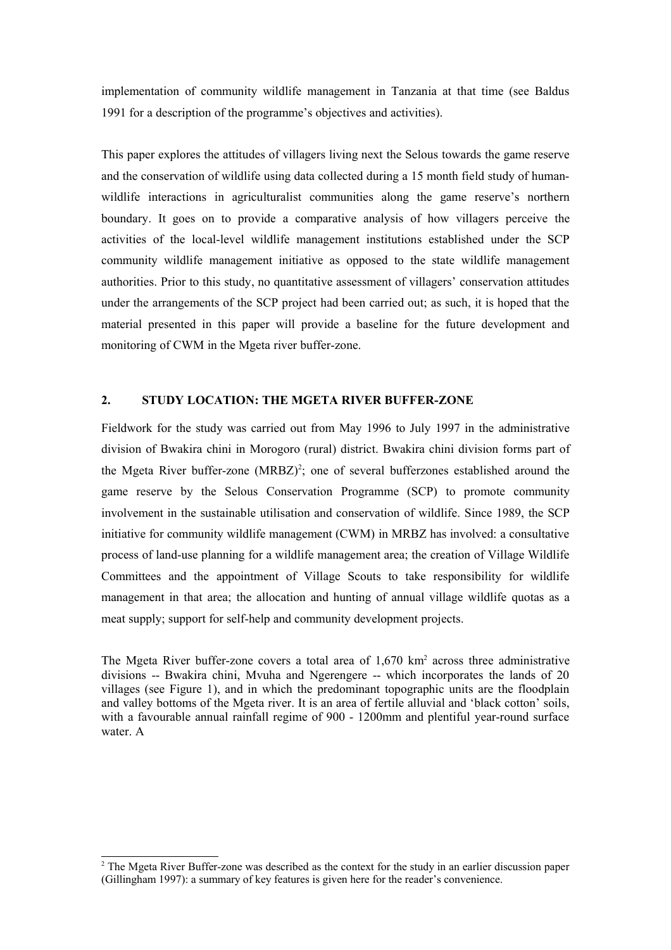implementation of community wildlife management in Tanzania at that time (see Baldus 1991 for a description of the programme's objectives and activities).

This paper explores the attitudes of villagers living next the Selous towards the game reserve and the conservation of wildlife using data collected during a 15 month field study of humanwildlife interactions in agriculturalist communities along the game reserve's northern boundary. It goes on to provide a comparative analysis of how villagers perceive the activities of the local-level wildlife management institutions established under the SCP community wildlife management initiative as opposed to the state wildlife management authorities. Prior to this study, no quantitative assessment of villagers' conservation attitudes under the arrangements of the SCP project had been carried out; as such, it is hoped that the material presented in this paper will provide a baseline for the future development and monitoring of CWM in the Mgeta river buffer-zone.

#### **2. STUDY LOCATION: THE MGETA RIVER BUFFER-ZONE**

Fieldwork for the study was carried out from May 1996 to July 1997 in the administrative division of Bwakira chini in Morogoro (rural) district. Bwakira chini division forms part of the Mgeta River buffer-zone  $(MRBZ)^2$ ; one of several bufferzones established around the game reserve by the Selous Conservation Programme (SCP) to promote community involvement in the sustainable utilisation and conservation of wildlife. Since 1989, the SCP initiative for community wildlife management (CWM) in MRBZ has involved: a consultative process of land-use planning for a wildlife management area; the creation of Village Wildlife Committees and the appointment of Village Scouts to take responsibility for wildlife management in that area; the allocation and hunting of annual village wildlife quotas as a meat supply; support for self-help and community development projects.

The Mgeta River buffer-zone covers a total area of  $1,670 \text{ km}^2$  across three administrative divisions -- Bwakira chini, Mvuha and Ngerengere -- which incorporates the lands of 20 villages (see Figure 1), and in which the predominant topographic units are the floodplain and valley bottoms of the Mgeta river. It is an area of fertile alluvial and 'black cotton' soils, with a favourable annual rainfall regime of 900 - 1200mm and plentiful year-round surface water. A

<sup>&</sup>lt;sup>2</sup> The Mgeta River Buffer-zone was described as the context for the study in an earlier discussion paper (Gillingham 1997): a summary of key features is given here for the reader's convenience.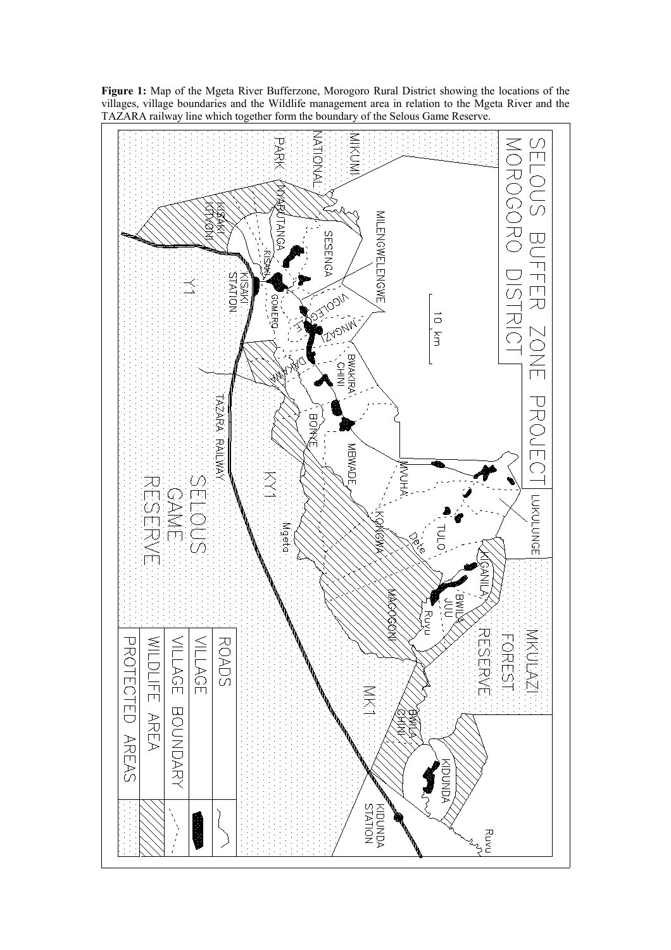

**Figure 1:** Map of the Mgeta River Bufferzone, Morogoro Rural District showing the locations of the villages, village boundaries and the Wildlife management area in relation to the Mgeta River and the TAZARA railway line which together form the boundary of the Selous Game Reserve.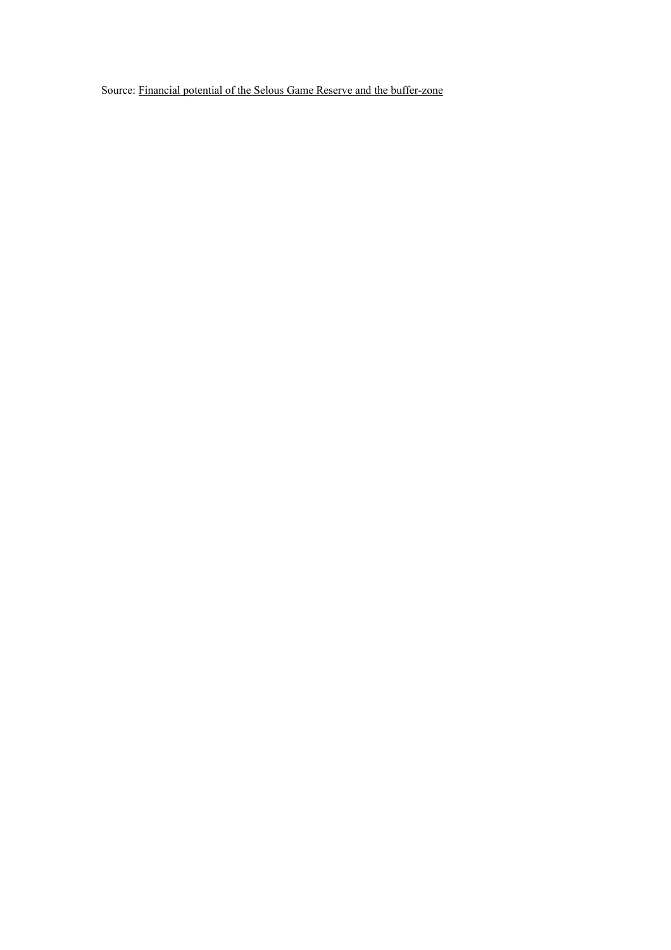Source: Financial potential of the Selous Game Reserve and the buffer-zone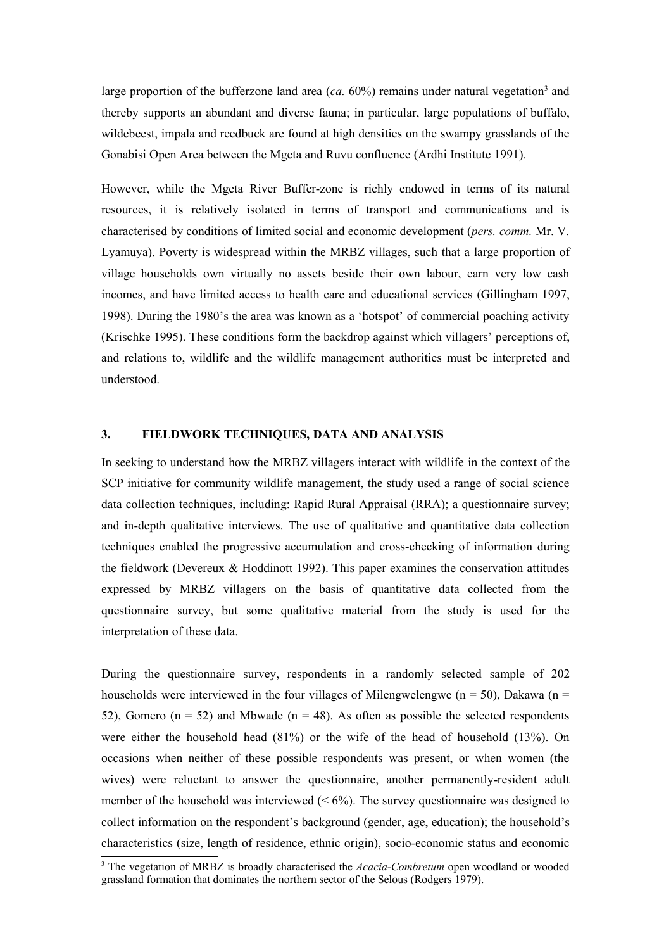large proportion of the bufferzone land area  $(ca. 60\%)$  remains under natural vegetation<sup>3</sup> and thereby supports an abundant and diverse fauna; in particular, large populations of buffalo, wildebeest, impala and reedbuck are found at high densities on the swampy grasslands of the Gonabisi Open Area between the Mgeta and Ruvu confluence (Ardhi Institute 1991).

However, while the Mgeta River Buffer-zone is richly endowed in terms of its natural resources, it is relatively isolated in terms of transport and communications and is characterised by conditions of limited social and economic development (*pers. comm.* Mr. V. Lyamuya). Poverty is widespread within the MRBZ villages, such that a large proportion of village households own virtually no assets beside their own labour, earn very low cash incomes, and have limited access to health care and educational services (Gillingham 1997, 1998). During the 1980's the area was known as a 'hotspot' of commercial poaching activity (Krischke 1995). These conditions form the backdrop against which villagers' perceptions of, and relations to, wildlife and the wildlife management authorities must be interpreted and understood.

#### **3. FIELDWORK TECHNIQUES, DATA AND ANALYSIS**

In seeking to understand how the MRBZ villagers interact with wildlife in the context of the SCP initiative for community wildlife management, the study used a range of social science data collection techniques, including: Rapid Rural Appraisal (RRA); a questionnaire survey; and in-depth qualitative interviews. The use of qualitative and quantitative data collection techniques enabled the progressive accumulation and cross-checking of information during the fieldwork (Devereux & Hoddinott 1992). This paper examines the conservation attitudes expressed by MRBZ villagers on the basis of quantitative data collected from the questionnaire survey, but some qualitative material from the study is used for the interpretation of these data.

During the questionnaire survey, respondents in a randomly selected sample of 202 households were interviewed in the four villages of Milengwelengwe ( $n = 50$ ), Dakawa ( $n =$ 52), Gomero ( $n = 52$ ) and Mbwade ( $n = 48$ ). As often as possible the selected respondents were either the household head (81%) or the wife of the head of household (13%). On occasions when neither of these possible respondents was present, or when women (the wives) were reluctant to answer the questionnaire, another permanently-resident adult member of the household was interviewed  $(< 6\%)$ . The survey questionnaire was designed to collect information on the respondent's background (gender, age, education); the household's characteristics (size, length of residence, ethnic origin), socio-economic status and economic

<sup>&</sup>lt;sup>3</sup> The vegetation of MRBZ is broadly characterised the *Acacia-Combretum* open woodland or wooded grassland formation that dominates the northern sector of the Selous (Rodgers 1979).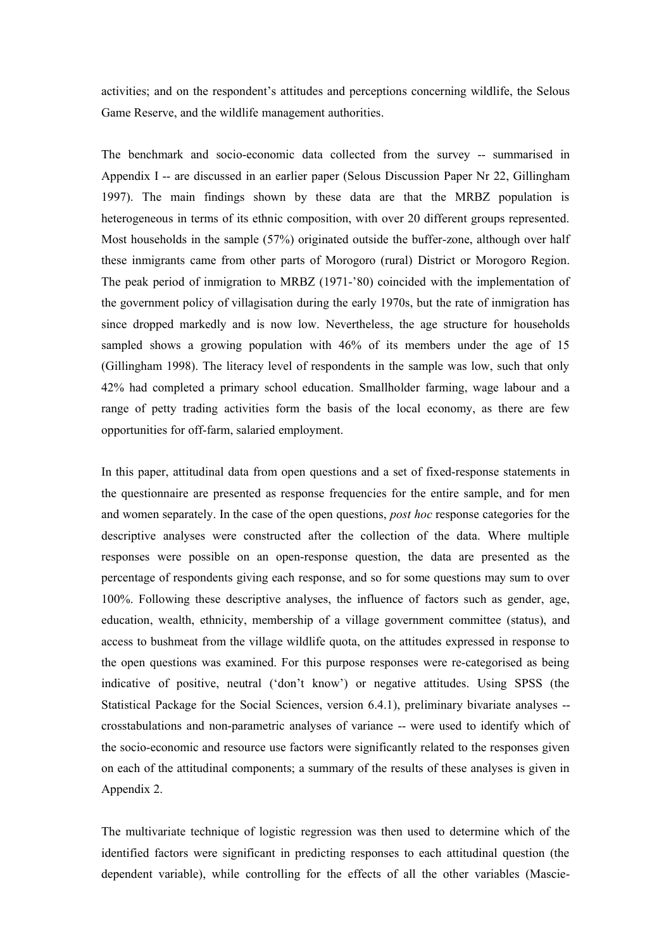activities; and on the respondent's attitudes and perceptions concerning wildlife, the Selous Game Reserve, and the wildlife management authorities.

The benchmark and socio-economic data collected from the survey -- summarised in Appendix I -- are discussed in an earlier paper (Selous Discussion Paper Nr 22, Gillingham 1997). The main findings shown by these data are that the MRBZ population is heterogeneous in terms of its ethnic composition, with over 20 different groups represented. Most households in the sample (57%) originated outside the buffer-zone, although over half these inmigrants came from other parts of Morogoro (rural) District or Morogoro Region. The peak period of inmigration to MRBZ (1971-'80) coincided with the implementation of the government policy of villagisation during the early 1970s, but the rate of inmigration has since dropped markedly and is now low. Nevertheless, the age structure for households sampled shows a growing population with 46% of its members under the age of 15 (Gillingham 1998). The literacy level of respondents in the sample was low, such that only 42% had completed a primary school education. Smallholder farming, wage labour and a range of petty trading activities form the basis of the local economy, as there are few opportunities for off-farm, salaried employment.

In this paper, attitudinal data from open questions and a set of fixed-response statements in the questionnaire are presented as response frequencies for the entire sample, and for men and women separately. In the case of the open questions, *post hoc* response categories for the descriptive analyses were constructed after the collection of the data. Where multiple responses were possible on an open-response question, the data are presented as the percentage of respondents giving each response, and so for some questions may sum to over 100%. Following these descriptive analyses, the influence of factors such as gender, age, education, wealth, ethnicity, membership of a village government committee (status), and access to bushmeat from the village wildlife quota, on the attitudes expressed in response to the open questions was examined. For this purpose responses were re-categorised as being indicative of positive, neutral ('don't know') or negative attitudes. Using SPSS (the Statistical Package for the Social Sciences, version 6.4.1), preliminary bivariate analyses - crosstabulations and non-parametric analyses of variance -- were used to identify which of the socio-economic and resource use factors were significantly related to the responses given on each of the attitudinal components; a summary of the results of these analyses is given in Appendix 2.

The multivariate technique of logistic regression was then used to determine which of the identified factors were significant in predicting responses to each attitudinal question (the dependent variable), while controlling for the effects of all the other variables (Mascie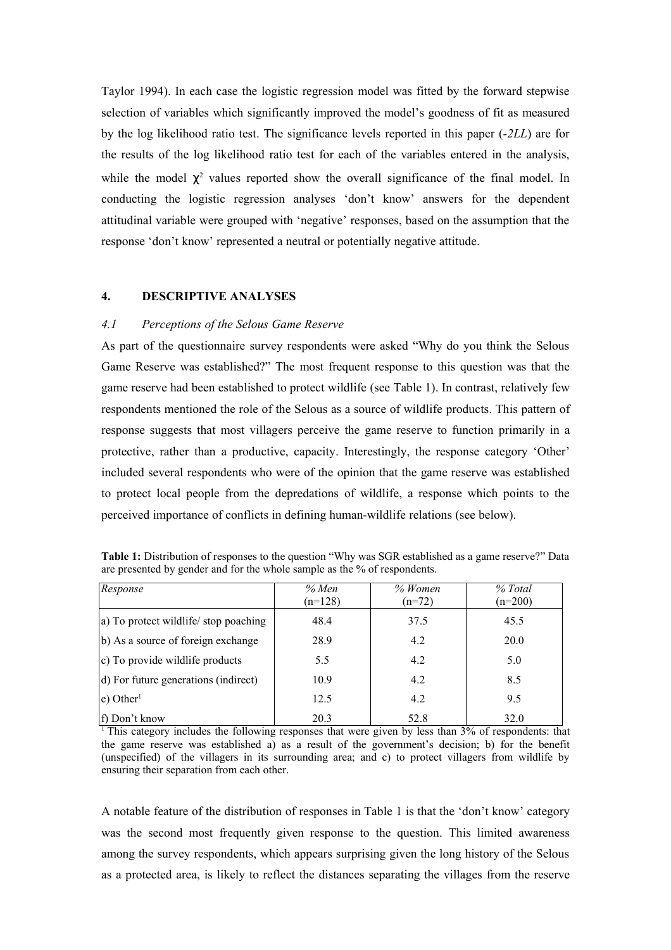Taylor 1994). In each case the logistic regression model was fitted by the forward stepwise selection of variables which significantly improved the model's goodness of fit as measured by the log likelihood ratio test. The significance levels reported in this paper (*-2LL*) are for the results of the log likelihood ratio test for each of the variables entered in the analysis, while the model  $\chi^2$  values reported show the overall significance of the final model. In conducting the logistic regression analyses 'don't know' answers for the dependent attitudinal variable were grouped with 'negative' responses, based on the assumption that the response 'don't know' represented a neutral or potentially negative attitude.

## **4. DESCRIPTIVE ANALYSES**

#### *4.1 Perceptions of the Selous Game Reserve*

As part of the questionnaire survey respondents were asked "Why do you think the Selous Game Reserve was established?" The most frequent response to this question was that the game reserve had been established to protect wildlife (see Table 1). In contrast, relatively few respondents mentioned the role of the Selous as a source of wildlife products. This pattern of response suggests that most villagers perceive the game reserve to function primarily in a protective, rather than a productive, capacity. Interestingly, the response category 'Other' included several respondents who were of the opinion that the game reserve was established to protect local people from the depredations of wildlife, a response which points to the perceived importance of conflicts in defining human-wildlife relations (see below).

| Response                              | % Men<br>$(n=128)$ | % Women<br>$(n=72)$ | % Total<br>$(n=200)$ |
|---------------------------------------|--------------------|---------------------|----------------------|
| a) To protect wildlife/ stop poaching | 48.4               | 37.5                | 45.5                 |
| b) As a source of foreign exchange    | 28.9               | 4.2                 | 20.0                 |
| $ c $ To provide wildlife products    | 5.5                | 4.2                 | 5.0                  |
| d) For future generations (indirect)  | 10.9               | 4.2                 | 8.5                  |
| $ e)$ Other <sup>1</sup>              | 12.5               | 4.2                 | 9.5                  |
| f) Don't know                         | 20.3               | 52.8                | 32.0                 |

**Table 1:** Distribution of responses to the question "Why was SGR established as a game reserve?" Data are presented by gender and for the whole sample as the % of respondents.

<sup>1</sup> This category includes the following responses that were given by less than  $3\%$  of respondents: that the game reserve was established a) as a result of the government's decision; b) for the benefit (unspecified) of the villagers in its surrounding area; and c) to protect villagers from wildlife by ensuring their separation from each other.

A notable feature of the distribution of responses in Table 1 is that the 'don't know' category was the second most frequently given response to the question. This limited awareness among the survey respondents, which appears surprising given the long history of the Selous as a protected area, is likely to reflect the distances separating the villages from the reserve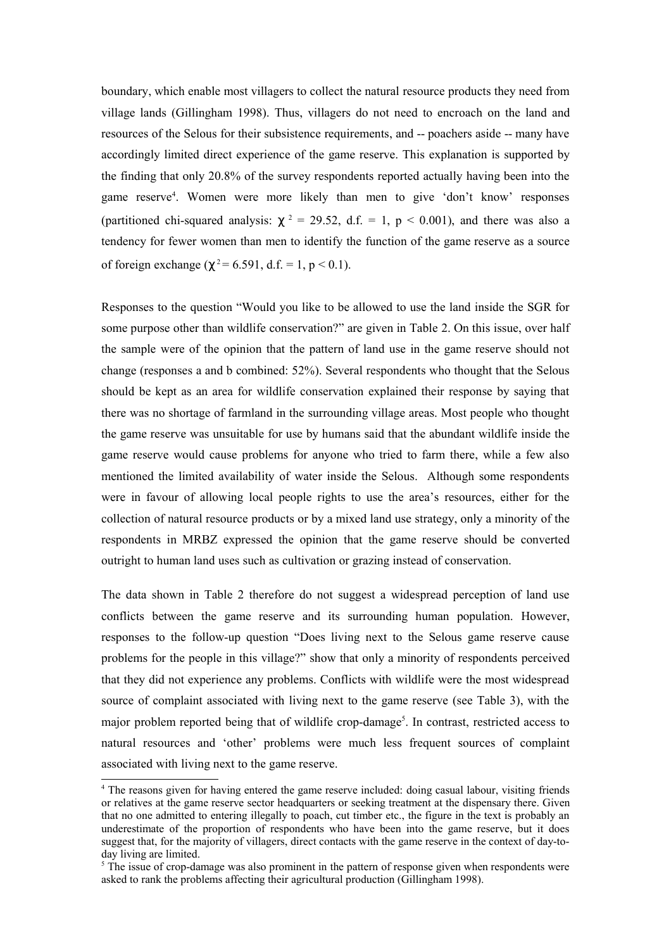boundary, which enable most villagers to collect the natural resource products they need from village lands (Gillingham 1998). Thus, villagers do not need to encroach on the land and resources of the Selous for their subsistence requirements, and -- poachers aside -- many have accordingly limited direct experience of the game reserve. This explanation is supported by the finding that only 20.8% of the survey respondents reported actually having been into the game reserve<sup>4</sup>. Women were more likely than men to give 'don't know' responses (partitioned chi-squared analysis:  $\chi^2 = 29.52$ , d.f. = 1, p < 0.001), and there was also a tendency for fewer women than men to identify the function of the game reserve as a source of foreign exchange ( $\chi^2$  = 6.591, d.f. = 1, p < 0.1).

Responses to the question "Would you like to be allowed to use the land inside the SGR for some purpose other than wildlife conservation?" are given in Table 2. On this issue, over half the sample were of the opinion that the pattern of land use in the game reserve should not change (responses a and b combined: 52%). Several respondents who thought that the Selous should be kept as an area for wildlife conservation explained their response by saying that there was no shortage of farmland in the surrounding village areas. Most people who thought the game reserve was unsuitable for use by humans said that the abundant wildlife inside the game reserve would cause problems for anyone who tried to farm there, while a few also mentioned the limited availability of water inside the Selous. Although some respondents were in favour of allowing local people rights to use the area's resources, either for the collection of natural resource products or by a mixed land use strategy, only a minority of the respondents in MRBZ expressed the opinion that the game reserve should be converted outright to human land uses such as cultivation or grazing instead of conservation.

The data shown in Table 2 therefore do not suggest a widespread perception of land use conflicts between the game reserve and its surrounding human population. However, responses to the follow-up question "Does living next to the Selous game reserve cause problems for the people in this village?" show that only a minority of respondents perceived that they did not experience any problems. Conflicts with wildlife were the most widespread source of complaint associated with living next to the game reserve (see Table 3), with the major problem reported being that of wildlife crop-damage<sup>5</sup>. In contrast, restricted access to natural resources and 'other' problems were much less frequent sources of complaint associated with living next to the game reserve.

<sup>4</sup> The reasons given for having entered the game reserve included: doing casual labour, visiting friends or relatives at the game reserve sector headquarters or seeking treatment at the dispensary there. Given that no one admitted to entering illegally to poach, cut timber etc., the figure in the text is probably an underestimate of the proportion of respondents who have been into the game reserve, but it does suggest that, for the majority of villagers, direct contacts with the game reserve in the context of day-today living are limited.

 $5$  The issue of crop-damage was also prominent in the pattern of response given when respondents were asked to rank the problems affecting their agricultural production (Gillingham 1998).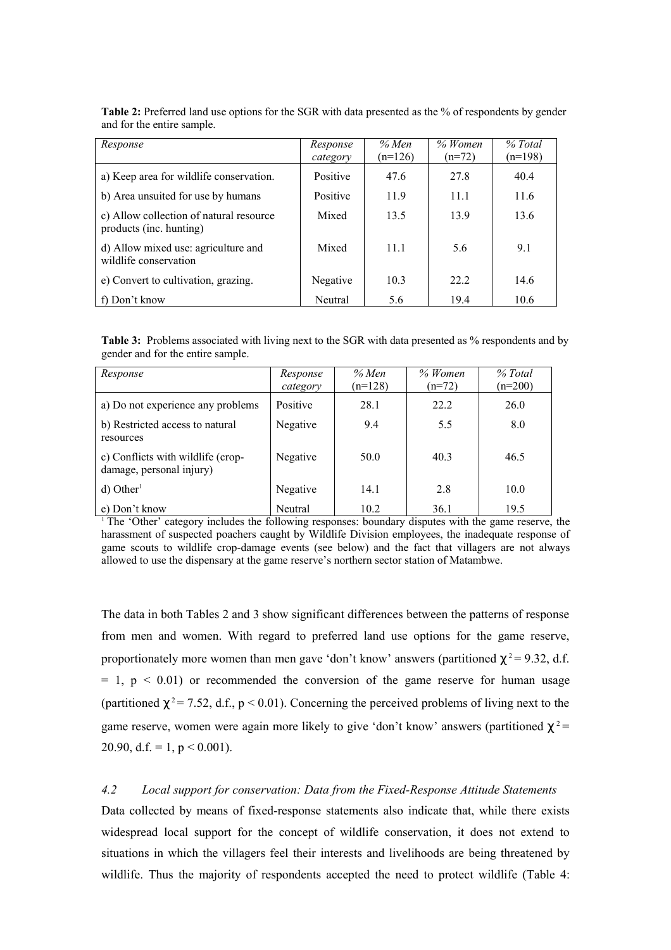| Response                                                           | Response<br>category | % Men<br>$(n=126)$ | $%$ Women<br>$(n=72)$ | % Total<br>$(n=198)$ |
|--------------------------------------------------------------------|----------------------|--------------------|-----------------------|----------------------|
| a) Keep area for wildlife conservation.                            | Positive             | 47.6               | 27.8                  | 40.4                 |
| b) Area unsuited for use by humans                                 | Positive             | 11.9               | 11.1                  | 11.6                 |
| c) Allow collection of natural resource<br>products (inc. hunting) | Mixed                | 13.5               | 13.9                  | 13.6                 |
| d) Allow mixed use: agriculture and<br>wildlife conservation       | Mixed                | 11.1               | 5.6                   | 9.1                  |
| e) Convert to cultivation, grazing.                                | Negative             | 10.3               | 22.2                  | 14.6                 |
| f) Don't know                                                      | Neutral              | 5.6                | 19.4                  | 10.6                 |

**Table 2:** Preferred land use options for the SGR with data presented as the % of respondents by gender and for the entire sample.

**Table 3:** Problems associated with living next to the SGR with data presented as % respondents and by gender and for the entire sample.

| Response                                                      | Response<br>category | % Men<br>$(n=128)$ | % Women<br>$(n=72)$ | % Total<br>$(n=200)$ |
|---------------------------------------------------------------|----------------------|--------------------|---------------------|----------------------|
| a) Do not experience any problems                             | Positive             | 28.1               | 22.2                | 26.0                 |
| b) Restricted access to natural<br>resources                  | Negative             | 9.4                | 5.5                 | 8.0                  |
| c) Conflicts with wildlife (crop-<br>damage, personal injury) | Negative             | 50.0               | 40.3                | 46.5                 |
| $d)$ Other <sup>1</sup>                                       | Negative             | 14.1               | 2.8                 | 10.0                 |
| e) Don't know                                                 | Neutral              | 10.2               | 36.1                | 19.5                 |

<sup>1</sup> The 'Other' category includes the following responses: boundary disputes with the game reserve, the harassment of suspected poachers caught by Wildlife Division employees, the inadequate response of game scouts to wildlife crop-damage events (see below) and the fact that villagers are not always allowed to use the dispensary at the game reserve's northern sector station of Matambwe.

The data in both Tables 2 and 3 show significant differences between the patterns of response from men and women. With regard to preferred land use options for the game reserve, proportionately more women than men gave 'don't know' answers (partitioned  $\chi^2$  = 9.32, d.f.  $= 1$ ,  $p < 0.01$ ) or recommended the conversion of the game reserve for human usage (partitioned  $\chi^2$  = 7.52, d.f., p < 0.01). Concerning the perceived problems of living next to the game reserve, women were again more likely to give 'don't know' answers (partitioned  $\chi^2$ 20.90, d.f. = 1,  $p < 0.001$ ).

#### *4.2 Local support for conservation: Data from the Fixed-Response Attitude Statements*

Data collected by means of fixed-response statements also indicate that, while there exists widespread local support for the concept of wildlife conservation, it does not extend to situations in which the villagers feel their interests and livelihoods are being threatened by wildlife. Thus the majority of respondents accepted the need to protect wildlife (Table 4: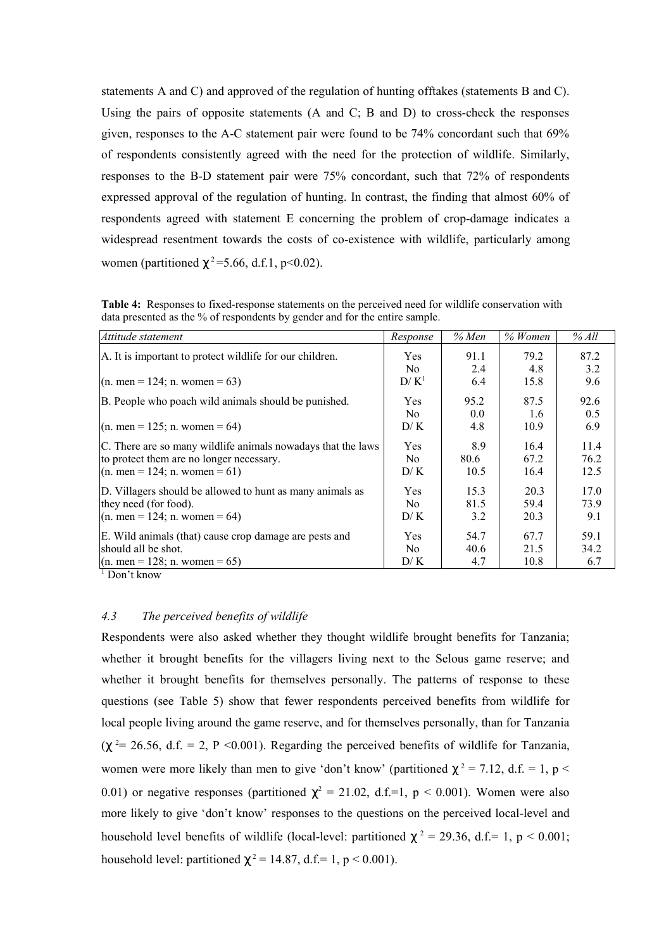statements A and C) and approved of the regulation of hunting offtakes (statements B and C). Using the pairs of opposite statements (A and C; B and D) to cross-check the responses given, responses to the A-C statement pair were found to be 74% concordant such that 69% of respondents consistently agreed with the need for the protection of wildlife. Similarly, responses to the B-D statement pair were 75% concordant, such that 72% of respondents expressed approval of the regulation of hunting. In contrast, the finding that almost 60% of respondents agreed with statement E concerning the problem of crop-damage indicates a widespread resentment towards the costs of co-existence with wildlife, particularly among women (partitioned  $\chi^2$ =5.66, d.f.1, p<0.02).

**Table 4:** Responses to fixed-response statements on the perceived need for wildlife conservation with data presented as the % of respondents by gender and for the entire sample.

| Attitude statement                                           | Response       | $%$ Men | $%$ Women | % All |
|--------------------------------------------------------------|----------------|---------|-----------|-------|
| A. It is important to protect wildlife for our children.     | <b>Yes</b>     | 91.1    | 79.2      | 87.2  |
|                                                              | No.            | 2.4     | 4.8       | 3.2   |
| $(n. men = 124; n. women = 63)$                              | $D/K^1$        | 6.4     | 15.8      | 9.6   |
| B. People who poach wild animals should be punished.         | <b>Yes</b>     | 95.2    | 87.5      | 92.6  |
|                                                              | No.            | 0.0     | 1.6       | 0.5   |
| $(n. men = 125; n. women = 64)$                              | D/K            | 4.8     | 10.9      | 6.9   |
| C. There are so many wildlife animals nowadays that the laws | Yes            | 8.9     | 16.4      | 11.4  |
| to protect them are no longer necessary.                     | No.            | 80.6    | 67.2      | 76.2  |
| $(n.$ men = 124; n. women = 61)                              | D/K            | 10.5    | 16.4      | 12.5  |
| D. Villagers should be allowed to hunt as many animals as    | Yes            | 15.3    | 20.3      | 17.0  |
| they need (for food).                                        | N <sub>0</sub> | 81.5    | 59.4      | 73.9  |
| $(n. men = 124; n. women = 64)$                              | D/K            | 3.2     | 20.3      | 9.1   |
| E. Wild animals (that) cause crop damage are pests and       | <b>Yes</b>     | 54.7    | 67.7      | 59.1  |
| should all be shot.                                          | No.            | 40.6    | 21.5      | 34.2  |
| $(n.$ men = 128; n. women = 65)                              | D/K            | 4.7     | 10.8      | 6.7   |

1 Don't know

#### *4.3 The perceived benefits of wildlife*

Respondents were also asked whether they thought wildlife brought benefits for Tanzania; whether it brought benefits for the villagers living next to the Selous game reserve; and whether it brought benefits for themselves personally. The patterns of response to these questions (see Table 5) show that fewer respondents perceived benefits from wildlife for local people living around the game reserve, and for themselves personally, than for Tanzania  $(\chi^2 = 26.56, d.f. = 2, P < 0.001)$ . Regarding the perceived benefits of wildlife for Tanzania, women were more likely than men to give 'don't know' (partitioned  $\chi^2 = 7.12$ , d.f. = 1, p < 0.01) or negative responses (partitioned  $\chi^2 = 21.02$ , d.f.=1, p < 0.001). Women were also more likely to give 'don't know' responses to the questions on the perceived local-level and household level benefits of wildlife (local-level: partitioned  $\chi^2 = 29.36$ , d.f.= 1, p < 0.001; household level: partitioned  $\chi^2 = 14.87$ , d.f.= 1, p < 0.001).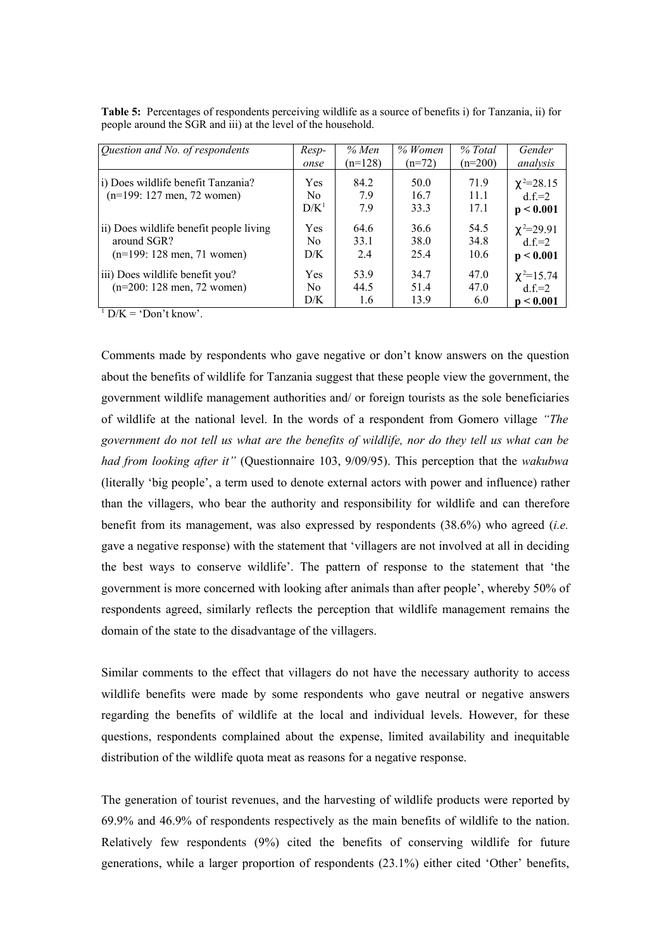| Question and No. of respondents                                    | $Resp-$                             | % Men               | % Women              | % Total              | Gender                                    |
|--------------------------------------------------------------------|-------------------------------------|---------------------|----------------------|----------------------|-------------------------------------------|
|                                                                    | onse                                | $(n=128)$           | $(n=72)$             | $(n=200)$            | analysis                                  |
| i) Does wildlife benefit Tanzania?<br>$(n=199: 127$ men, 72 women) | <b>Yes</b><br>No.<br>$D/K^1$        | 84.2<br>7.9<br>7.9  | 50.0<br>16.7<br>333  | 71.9<br>11.1<br>17.1 | $\chi^2 = 28.15$<br>$df = 2$<br>p < 0.001 |
| ii) Does wildlife benefit people living                            | <b>Yes</b>                          | 64.6                | 36.6                 | 54.5                 | $\chi^2 = 29.91$                          |
| around SGR?                                                        | No.                                 | 33.1                | 38.0                 | 34.8                 | $df = 2$                                  |
| $(n=199: 128$ men, 71 women)                                       | D/K                                 | 2.4                 | 25.4                 | 10.6                 | p < 0.001                                 |
| iii) Does wildlife benefit you?<br>$(n=200: 128$ men, 72 women)    | <b>Yes</b><br>N <sub>0</sub><br>D/K | 53.9<br>44.5<br>1.6 | 34.7<br>51.4<br>13.9 | 47.0<br>47.0<br>6.0  | $\chi^2 = 15.74$<br>$df = 2$<br>p < 0.001 |

**Table 5:** Percentages of respondents perceiving wildlife as a source of benefits i) for Tanzania, ii) for people around the SGR and iii) at the level of the household.

 $1 \text{ D/K} = \text{`Don't know'}.$ 

Comments made by respondents who gave negative or don't know answers on the question about the benefits of wildlife for Tanzania suggest that these people view the government, the government wildlife management authorities and/ or foreign tourists as the sole beneficiaries of wildlife at the national level. In the words of a respondent from Gomero village *"The* government do not tell us what are the benefits of wildlife, nor do they tell us what can be *had from looking after it"* (Questionnaire 103, 9/09/95). This perception that the *wakubwa* (literally 'big people', a term used to denote external actors with power and influence) rather than the villagers, who bear the authority and responsibility for wildlife and can therefore benefit from its management, was also expressed by respondents (38.6%) who agreed (*i.e.* gave a negative response) with the statement that 'villagers are not involved at all in deciding the best ways to conserve wildlife'. The pattern of response to the statement that 'the government is more concerned with looking after animals than after people', whereby 50% of respondents agreed, similarly reflects the perception that wildlife management remains the domain of the state to the disadvantage of the villagers.

Similar comments to the effect that villagers do not have the necessary authority to access wildlife benefits were made by some respondents who gave neutral or negative answers regarding the benefits of wildlife at the local and individual levels. However, for these questions, respondents complained about the expense, limited availability and inequitable distribution of the wildlife quota meat as reasons for a negative response.

The generation of tourist revenues, and the harvesting of wildlife products were reported by 69.9% and 46.9% of respondents respectively as the main benefits of wildlife to the nation. Relatively few respondents (9%) cited the benefits of conserving wildlife for future generations, while a larger proportion of respondents (23.1%) either cited 'Other' benefits,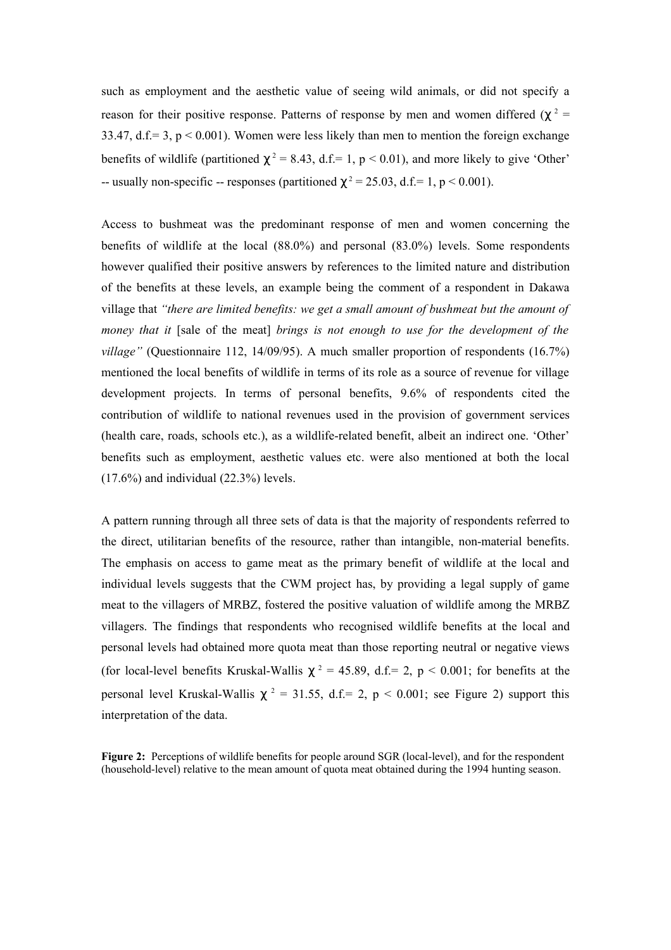such as employment and the aesthetic value of seeing wild animals, or did not specify a reason for their positive response. Patterns of response by men and women differed ( $\chi^2$  = 33.47, d.f.= 3,  $p < 0.001$ ). Women were less likely than men to mention the foreign exchange benefits of wildlife (partitioned  $\chi^2 = 8.43$ , d.f.= 1, p < 0.01), and more likely to give 'Other' -- usually non-specific -- responses (partitioned  $\chi^2 = 25.03$ , d.f.= 1, p < 0.001).

Access to bushmeat was the predominant response of men and women concerning the benefits of wildlife at the local (88.0%) and personal (83.0%) levels. Some respondents however qualified their positive answers by references to the limited nature and distribution of the benefits at these levels, an example being the comment of a respondent in Dakawa village that *"there are limited benefits: we get a small amount of bushmeat but the amount of money that it* [sale of the meat] *brings is not enough to use for the development of the village"* (Questionnaire 112, 14/09/95). A much smaller proportion of respondents (16.7%) mentioned the local benefits of wildlife in terms of its role as a source of revenue for village development projects. In terms of personal benefits, 9.6% of respondents cited the contribution of wildlife to national revenues used in the provision of government services (health care, roads, schools etc.), as a wildlife-related benefit, albeit an indirect one. 'Other' benefits such as employment, aesthetic values etc. were also mentioned at both the local  $(17.6\%)$  and individual  $(22.3\%)$  levels.

A pattern running through all three sets of data is that the majority of respondents referred to the direct, utilitarian benefits of the resource, rather than intangible, non-material benefits. The emphasis on access to game meat as the primary benefit of wildlife at the local and individual levels suggests that the CWM project has, by providing a legal supply of game meat to the villagers of MRBZ, fostered the positive valuation of wildlife among the MRBZ villagers. The findings that respondents who recognised wildlife benefits at the local and personal levels had obtained more quota meat than those reporting neutral or negative views (for local-level benefits Kruskal-Wallis  $\chi^2 = 45.89$ , d.f.= 2, p < 0.001; for benefits at the personal level Kruskal-Wallis  $\chi^2 = 31.55$ , d.f.= 2, p < 0.001; see Figure 2) support this interpretation of the data.

**Figure 2:** Perceptions of wildlife benefits for people around SGR (local-level), and for the respondent (household-level) relative to the mean amount of quota meat obtained during the 1994 hunting season.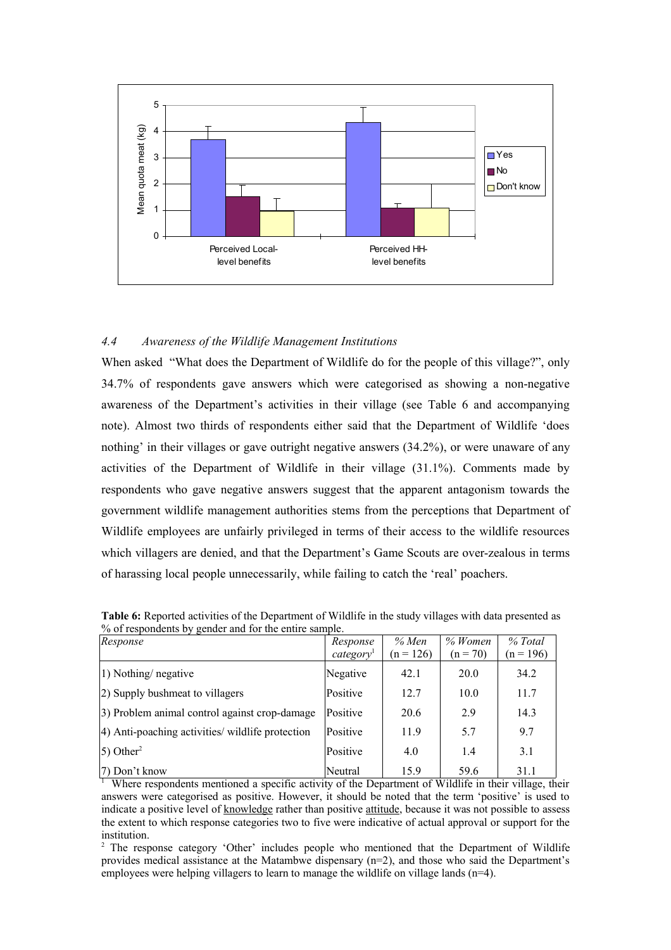

# *4.4 Awareness of the Wildlife Management Institutions*

When asked "What does the Department of Wildlife do for the people of this village?", only 34.7% of respondents gave answers which were categorised as showing a non-negative awareness of the Department's activities in their village (see Table 6 and accompanying note). Almost two thirds of respondents either said that the Department of Wildlife 'does nothing' in their villages or gave outright negative answers (34.2%), or were unaware of any activities of the Department of Wildlife in their village (31.1%). Comments made by respondents who gave negative answers suggest that the apparent antagonism towards the government wildlife management authorities stems from the perceptions that Department of Wildlife employees are unfairly privileged in terms of their access to the wildlife resources which villagers are denied, and that the Department's Game Scouts are over-zealous in terms of harassing local people unnecessarily, while failing to catch the 'real' poachers.

| Response                                         | Response              | % Men       | $%$ Women  | % Total     |
|--------------------------------------------------|-----------------------|-------------|------------|-------------|
|                                                  | category <sup>1</sup> | $(n = 126)$ | $(n = 70)$ | $(n = 196)$ |
| $ 1)$ Nothing/ negative                          | Negative              | 42.1        | 20.0       | 34.2        |
| (2) Supply bushmeat to villagers                 | Positive              | 12.7        | 10.0       | 11.7        |
| 3) Problem animal control against crop-damage    | Positive              | 20.6        | 2.9        | 14.3        |
| 4) Anti-poaching activities/ wildlife protection | Positive              | 11.9        | 5.7        | 9.7         |
| $\vert$ 5) Other <sup>2</sup>                    | Positive              | 4.0         | 1.4        | 3.1         |
| 7) Don't know                                    | Neutral               | 15.9        | 59.6       | 31.1        |

**Table 6:** Reported activities of the Department of Wildlife in the study villages with data presented as % of respondents by gender and for the entire sample.

<sup>1</sup> Where respondents mentioned a specific activity of the Department of Wildlife in their village, their answers were categorised as positive. However, it should be noted that the term 'positive' is used to indicate a positive level of knowledge rather than positive attitude, because it was not possible to assess the extent to which response categories two to five were indicative of actual approval or support for the institution.

<sup>2</sup> The response category 'Other' includes people who mentioned that the Department of Wildlife provides medical assistance at the Matambwe dispensary (n=2), and those who said the Department's employees were helping villagers to learn to manage the wildlife on village lands (n=4).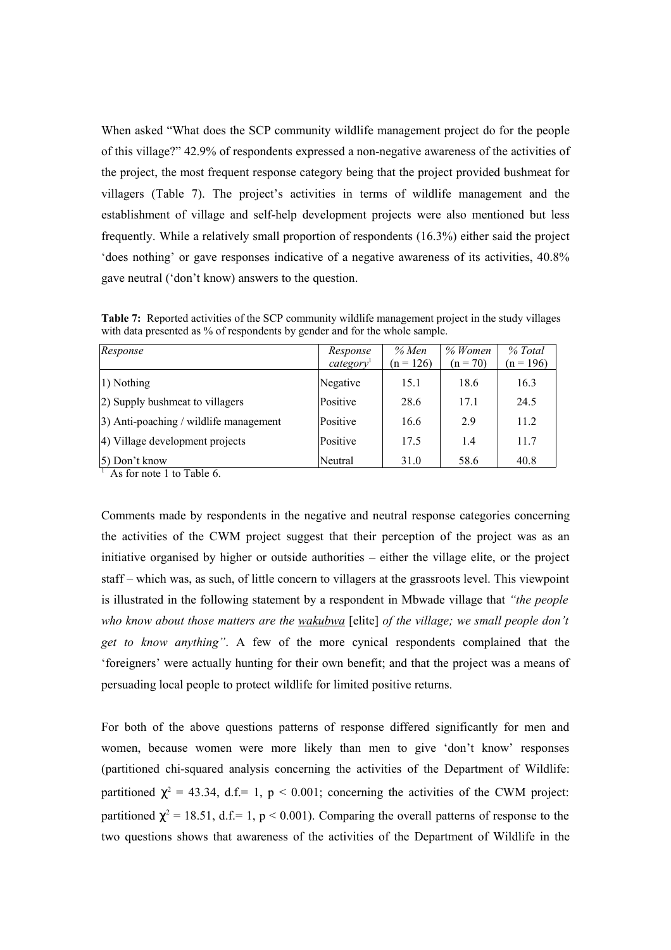When asked "What does the SCP community wildlife management project do for the people of this village?" 42.9% of respondents expressed a non-negative awareness of the activities of the project, the most frequent response category being that the project provided bushmeat for villagers (Table 7). The project's activities in terms of wildlife management and the establishment of village and self-help development projects were also mentioned but less frequently. While a relatively small proportion of respondents (16.3%) either said the project 'does nothing' or gave responses indicative of a negative awareness of its activities, 40.8% gave neutral ('don't know) answers to the question.

Table 7: Reported activities of the SCP community wildlife management project in the study villages with data presented as % of respondents by gender and for the whole sample.

| Response                               | Response<br>category <sup>1</sup> | % Men<br>$(n = 126)$ | $%$ Women<br>$(n = 70)$ | % Total<br>$(n = 196)$ |
|----------------------------------------|-----------------------------------|----------------------|-------------------------|------------------------|
| 1) Nothing                             | Negative                          | 15.1                 | 18.6                    | 16.3                   |
| (2) Supply bushmeat to villagers       | Positive                          | 28.6                 | 17.1                    | 24.5                   |
| 3) Anti-poaching / wildlife management | Positive                          | 16.6                 | 2.9                     | 11.2                   |
| 4) Village development projects        | Positive                          | 17.5                 | 1.4                     | 11.7                   |
| 5) Don't know                          | Neutral                           | 31.0                 | 58.6                    | 40.8                   |

<sup>1</sup> As for note 1 to Table 6.

Comments made by respondents in the negative and neutral response categories concerning the activities of the CWM project suggest that their perception of the project was as an initiative organised by higher or outside authorities – either the village elite, or the project staff – which was, as such, of little concern to villagers at the grassroots level. This viewpoint is illustrated in the following statement by a respondent in Mbwade village that *"the people who know about those matters are the wakubwa* [elite] *of the village; we small people don't get to know anything"*. A few of the more cynical respondents complained that the 'foreigners' were actually hunting for their own benefit; and that the project was a means of persuading local people to protect wildlife for limited positive returns.

For both of the above questions patterns of response differed significantly for men and women, because women were more likely than men to give 'don't know' responses (partitioned chi-squared analysis concerning the activities of the Department of Wildlife: partitioned  $\chi^2 = 43.34$ , d.f.= 1, p < 0.001; concerning the activities of the CWM project: partitioned  $\chi^2 = 18.51$ , d.f.= 1, p < 0.001). Comparing the overall patterns of response to the two questions shows that awareness of the activities of the Department of Wildlife in the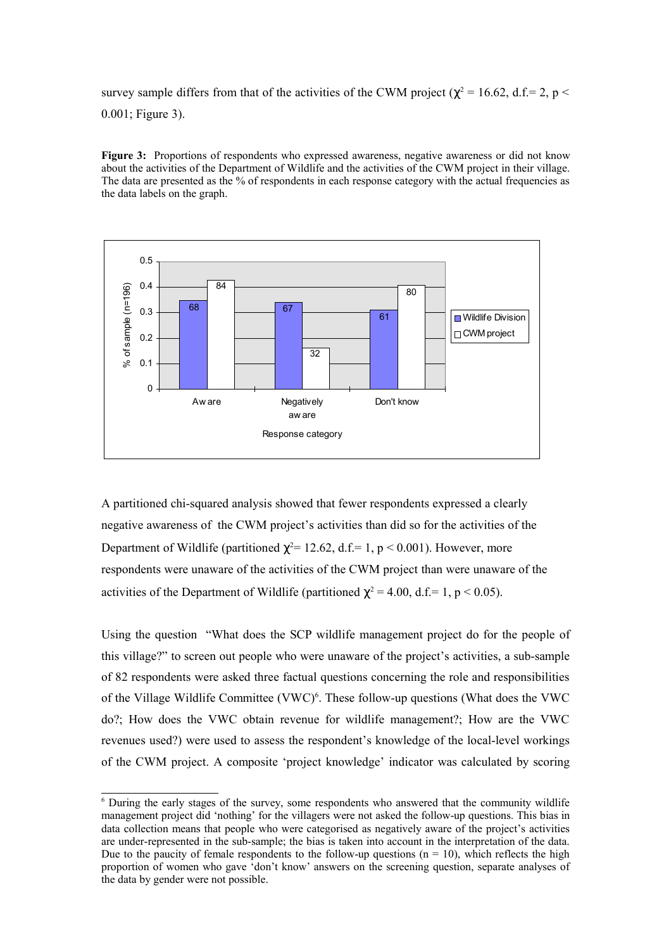survey sample differs from that of the activities of the CWM project ( $\chi^2$  = 16.62, d.f.= 2, p < 0.001; Figure 3).

**Figure** 3: Proportions of respondents who expressed awareness, negative awareness or did not know about the activities of the Department of Wildlife and the activities of the CWM project in their village. The data are presented as the % of respondents in each response category with the actual frequencies as the data labels on the graph.



A partitioned chi-squared analysis showed that fewer respondents expressed a clearly negative awareness of the CWM project's activities than did so for the activities of the Department of Wildlife (partitioned  $\chi^2$ = 12.62, d.f.= 1, p < 0.001). However, more respondents were unaware of the activities of the CWM project than were unaware of the activities of the Department of Wildlife (partitioned  $\chi^2 = 4.00$ , d.f.= 1, p < 0.05).

Using the question "What does the SCP wildlife management project do for the people of this village?" to screen out people who were unaware of the project's activities, a sub-sample of 82 respondents were asked three factual questions concerning the role and responsibilities of the Village Wildlife Committee (VWC)<sup>6</sup>. These follow-up questions (What does the VWC do?; How does the VWC obtain revenue for wildlife management?; How are the VWC revenues used?) were used to assess the respondent's knowledge of the local-level workings of the CWM project. A composite 'project knowledge' indicator was calculated by scoring

<sup>6</sup> During the early stages of the survey, some respondents who answered that the community wildlife management project did 'nothing' for the villagers were not asked the follow-up questions. This bias in data collection means that people who were categorised as negatively aware of the project's activities are under-represented in the sub-sample; the bias is taken into account in the interpretation of the data. Due to the paucity of female respondents to the follow-up questions ( $n = 10$ ), which reflects the high proportion of women who gave 'don't know' answers on the screening question, separate analyses of the data by gender were not possible.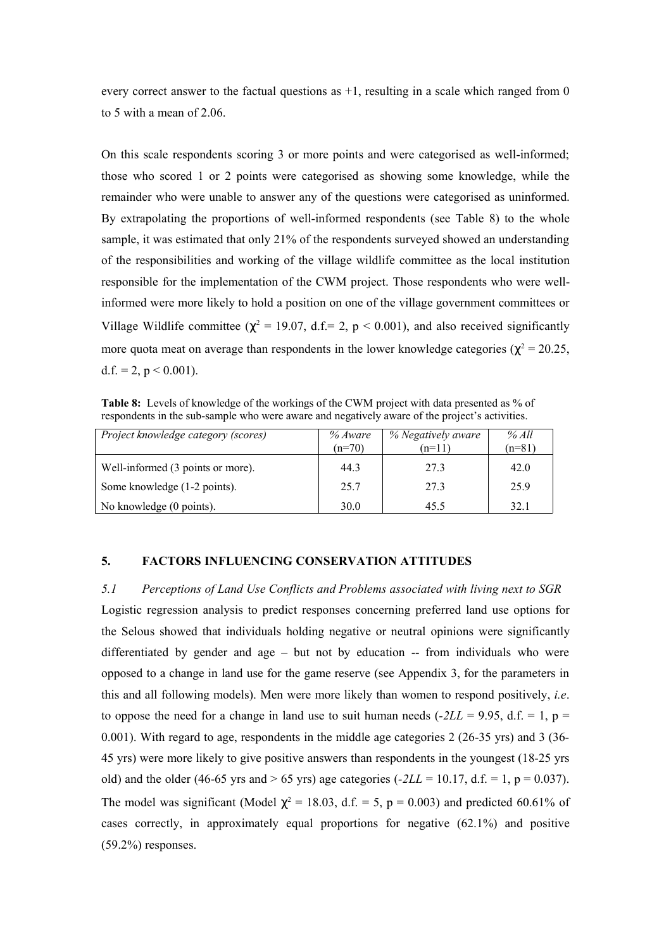every correct answer to the factual questions as  $+1$ , resulting in a scale which ranged from 0 to 5 with a mean of 2.06.

On this scale respondents scoring 3 or more points and were categorised as well-informed; those who scored 1 or 2 points were categorised as showing some knowledge, while the remainder who were unable to answer any of the questions were categorised as uninformed. By extrapolating the proportions of well-informed respondents (see Table 8) to the whole sample, it was estimated that only 21% of the respondents surveyed showed an understanding of the responsibilities and working of the village wildlife committee as the local institution responsible for the implementation of the CWM project. Those respondents who were wellinformed were more likely to hold a position on one of the village government committees or Village Wildlife committee ( $\chi^2$  = 19.07, d.f.= 2, p < 0.001), and also received significantly more quota meat on average than respondents in the lower knowledge categories ( $\chi^2$  = 20.25, d.f. = 2,  $p < 0.001$ ).

**Table 8:** Levels of knowledge of the workings of the CWM project with data presented as % of respondents in the sub-sample who were aware and negatively aware of the project's activities.

| Project knowledge category (scores) | % Aware  | % Negatively aware<br>$(n=11)$ | % All    |
|-------------------------------------|----------|--------------------------------|----------|
|                                     | $(n=70)$ |                                | $(n=81)$ |
| Well-informed (3 points or more).   | 44.3     | 27.3                           | 42.0     |
| Some knowledge (1-2 points).        | 25.7     | 27.3                           | 25.9     |
| No knowledge (0 points).            | 30.0     | 45.5                           | 32.1     |

## **5. FACTORS INFLUENCING CONSERVATION ATTITUDES**

*5.1 Perceptions of Land Use Conflicts and Problems associated with living next to SGR* Logistic regression analysis to predict responses concerning preferred land use options for the Selous showed that individuals holding negative or neutral opinions were significantly differentiated by gender and age – but not by education -- from individuals who were opposed to a change in land use for the game reserve (see Appendix 3, for the parameters in this and all following models). Men were more likely than women to respond positively, *i.e*. to oppose the need for a change in land use to suit human needs  $(-2LL = 9.95, d.f. = 1, p =$ 0.001). With regard to age, respondents in the middle age categories 2 (26-35 yrs) and 3 (36- 45 yrs) were more likely to give positive answers than respondents in the youngest (18-25 yrs old) and the older (46-65 yrs and  $> 65$  yrs) age categories ( $-2LL = 10.17$ , d.f.  $= 1$ , p  $= 0.037$ ). The model was significant (Model  $\chi^2 = 18.03$ , d.f. = 5, p = 0.003) and predicted 60.61% of cases correctly, in approximately equal proportions for negative (62.1%) and positive  $(59.2\%)$  responses.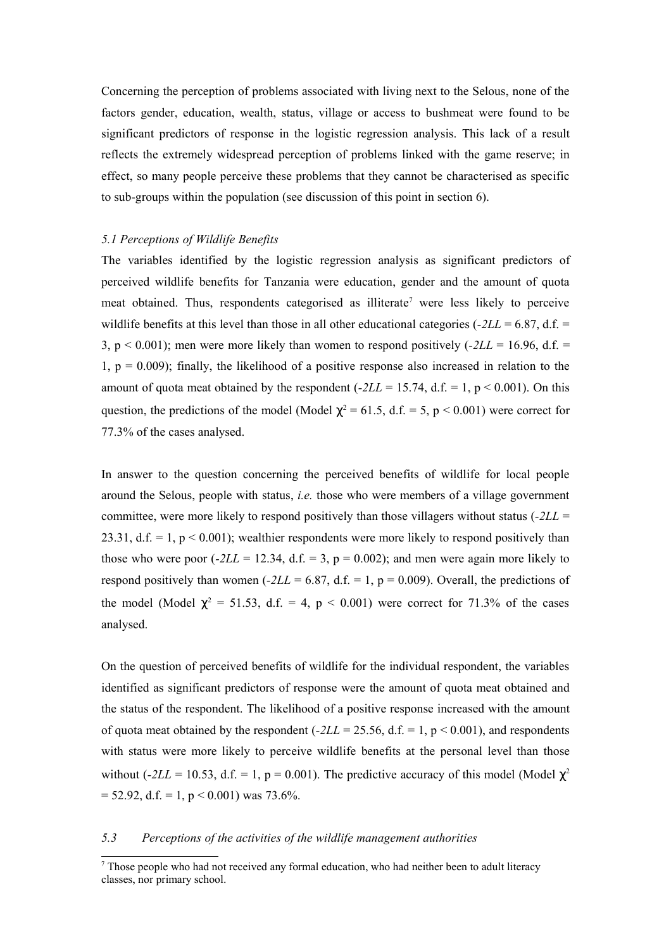Concerning the perception of problems associated with living next to the Selous, none of the factors gender, education, wealth, status, village or access to bushmeat were found to be significant predictors of response in the logistic regression analysis. This lack of a result reflects the extremely widespread perception of problems linked with the game reserve; in effect, so many people perceive these problems that they cannot be characterised as specific to sub-groups within the population (see discussion of this point in section 6).

#### *5.1 Perceptions of Wildlife Benefits*

The variables identified by the logistic regression analysis as significant predictors of perceived wildlife benefits for Tanzania were education, gender and the amount of quota meat obtained. Thus, respondents categorised as illiterate<sup>7</sup> were less likely to perceive wildlife benefits at this level than those in all other educational categories ( $-2LL = 6.87$ , d.f. = 3,  $p < 0.001$ ); men were more likely than women to respond positively  $(-2LL = 16.96, d.f. =$ 1,  $p = 0.009$ ); finally, the likelihood of a positive response also increased in relation to the amount of quota meat obtained by the respondent  $(-2LL = 15.74, d.f. = 1, p < 0.001)$ . On this question, the predictions of the model (Model  $\chi^2 = 61.5$ , d.f. = 5, p < 0.001) were correct for 77.3% of the cases analysed.

In answer to the question concerning the perceived benefits of wildlife for local people around the Selous, people with status, *i.e.* those who were members of a village government committee, were more likely to respond positively than those villagers without status (*-2LL* = 23.31, d.f. = 1,  $p \le 0.001$ ); wealthier respondents were more likely to respond positively than those who were poor  $(-2LL = 12.34, d.f. = 3, p = 0.002)$ ; and men were again more likely to respond positively than women  $(-2LL = 6.87, d.f. = 1, p = 0.009)$ . Overall, the predictions of the model (Model  $\chi^2 = 51.53$ , d.f. = 4, p < 0.001) were correct for 71.3% of the cases analysed.

On the question of perceived benefits of wildlife for the individual respondent, the variables identified as significant predictors of response were the amount of quota meat obtained and the status of the respondent. The likelihood of a positive response increased with the amount of quota meat obtained by the respondent  $(-2LL = 25.56, d.f. = 1, p < 0.001)$ , and respondents with status were more likely to perceive wildlife benefits at the personal level than those without ( $-2LL = 10.53$ , d.f. = 1, p = 0.001). The predictive accuracy of this model (Model  $\chi^2$  $= 52.92$ , d.f.  $= 1$ ,  $p < 0.001$ ) was 73.6%.

#### *5.3 Perceptions of the activities of the wildlife management authorities*

<sup>7</sup> Those people who had not received any formal education, who had neither been to adult literacy classes, nor primary school.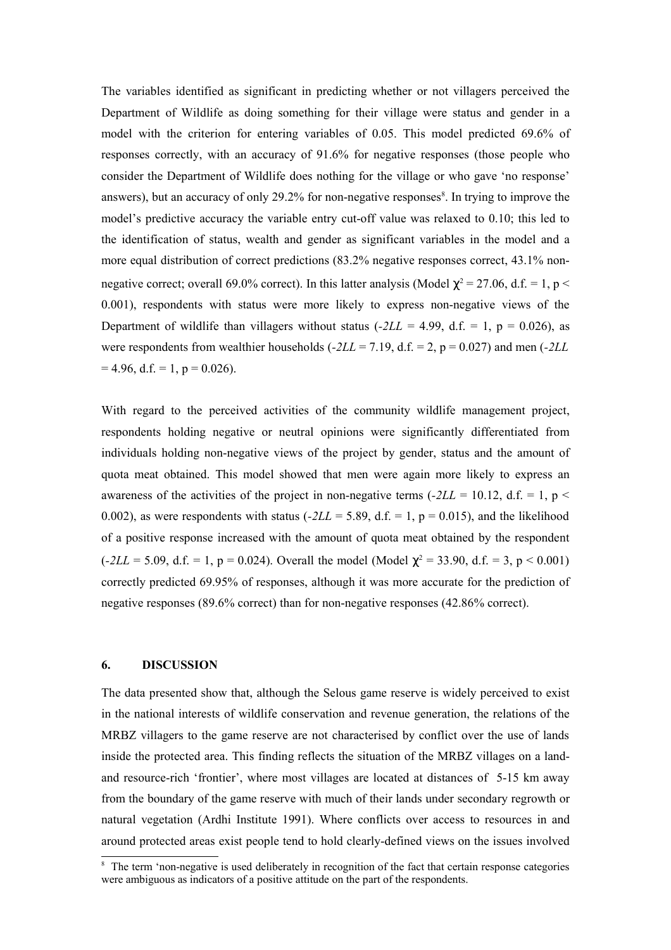The variables identified as significant in predicting whether or not villagers perceived the Department of Wildlife as doing something for their village were status and gender in a model with the criterion for entering variables of 0.05. This model predicted 69.6% of responses correctly, with an accuracy of 91.6% for negative responses (those people who consider the Department of Wildlife does nothing for the village or who gave 'no response' answers), but an accuracy of only 29.2% for non-negative responses<sup>8</sup>. In trying to improve the model's predictive accuracy the variable entry cut-off value was relaxed to 0.10; this led to the identification of status, wealth and gender as significant variables in the model and a more equal distribution of correct predictions (83.2% negative responses correct, 43.1% nonnegative correct; overall 69.0% correct). In this latter analysis (Model  $\chi^2$  = 27.06, d.f. = 1, p < 0.001), respondents with status were more likely to express non-negative views of the Department of wildlife than villagers without status  $(-2LL = 4.99, d.f. = 1, p = 0.026)$ , as were respondents from wealthier households (*-2LL* = 7.19, d.f. = 2, p = 0.027) and men (*-2LL*  $= 4.96$ , d.f.  $= 1$ ,  $p = 0.026$ ).

With regard to the perceived activities of the community wildlife management project, respondents holding negative or neutral opinions were significantly differentiated from individuals holding non-negative views of the project by gender, status and the amount of quota meat obtained. This model showed that men were again more likely to express an awareness of the activities of the project in non-negative terms  $(-2LL = 10.12, d.f. = 1, p <$ 0.002), as were respondents with status  $(-2LL = 5.89, d.f. = 1, p = 0.015)$ , and the likelihood of a positive response increased with the amount of quota meat obtained by the respondent  $(-2LL = 5.09, d.f. = 1, p = 0.024)$ . Overall the model (Model  $\chi^2 = 33.90, d.f. = 3, p < 0.001$ ) correctly predicted 69.95% of responses, although it was more accurate for the prediction of negative responses (89.6% correct) than for non-negative responses (42.86% correct).

### **6. DISCUSSION**

The data presented show that, although the Selous game reserve is widely perceived to exist in the national interests of wildlife conservation and revenue generation, the relations of the MRBZ villagers to the game reserve are not characterised by conflict over the use of lands inside the protected area. This finding reflects the situation of the MRBZ villages on a landand resource-rich 'frontier', where most villages are located at distances of 5-15 km away from the boundary of the game reserve with much of their lands under secondary regrowth or natural vegetation (Ardhi Institute 1991). Where conflicts over access to resources in and around protected areas exist people tend to hold clearly-defined views on the issues involved

<sup>&</sup>lt;sup>8</sup> The term 'non-negative is used deliberately in recognition of the fact that certain response categories were ambiguous as indicators of a positive attitude on the part of the respondents.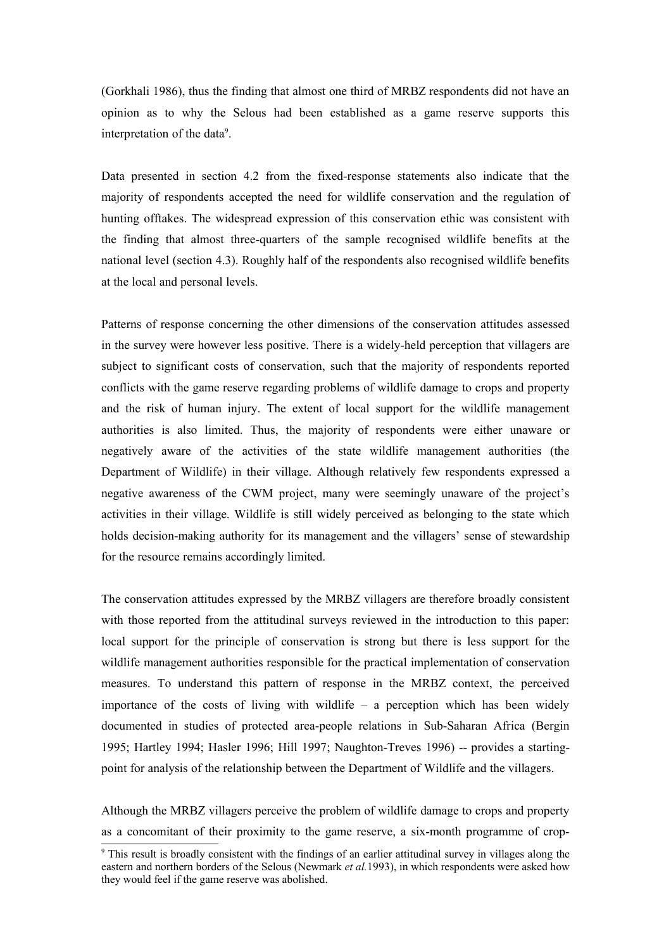(Gorkhali 1986), thus the finding that almost one third of MRBZ respondents did not have an opinion as to why the Selous had been established as a game reserve supports this interpretation of the data<sup>9</sup>.

Data presented in section 4.2 from the fixed-response statements also indicate that the majority of respondents accepted the need for wildlife conservation and the regulation of hunting offtakes. The widespread expression of this conservation ethic was consistent with the finding that almost three-quarters of the sample recognised wildlife benefits at the national level (section 4.3). Roughly half of the respondents also recognised wildlife benefits at the local and personal levels.

Patterns of response concerning the other dimensions of the conservation attitudes assessed in the survey were however less positive. There is a widely-held perception that villagers are subject to significant costs of conservation, such that the majority of respondents reported conflicts with the game reserve regarding problems of wildlife damage to crops and property and the risk of human injury. The extent of local support for the wildlife management authorities is also limited. Thus, the majority of respondents were either unaware or negatively aware of the activities of the state wildlife management authorities (the Department of Wildlife) in their village. Although relatively few respondents expressed a negative awareness of the CWM project, many were seemingly unaware of the project's activities in their village. Wildlife is still widely perceived as belonging to the state which holds decision-making authority for its management and the villagers' sense of stewardship for the resource remains accordingly limited.

The conservation attitudes expressed by the MRBZ villagers are therefore broadly consistent with those reported from the attitudinal surveys reviewed in the introduction to this paper: local support for the principle of conservation is strong but there is less support for the wildlife management authorities responsible for the practical implementation of conservation measures. To understand this pattern of response in the MRBZ context, the perceived importance of the costs of living with wildlife  $-$  a perception which has been widely documented in studies of protected area-people relations in Sub-Saharan Africa (Bergin 1995; Hartley 1994; Hasler 1996; Hill 1997; Naughton-Treves 1996) -- provides a startingpoint for analysis of the relationship between the Department of Wildlife and the villagers.

Although the MRBZ villagers perceive the problem of wildlife damage to crops and property as a concomitant of their proximity to the game reserve, a six-month programme of crop-

<sup>9</sup> This result is broadly consistent with the findings of an earlier attitudinal survey in villages along the eastern and northern borders of the Selous (Newmark *et al.*1993), in which respondents were asked how they would feel if the game reserve was abolished.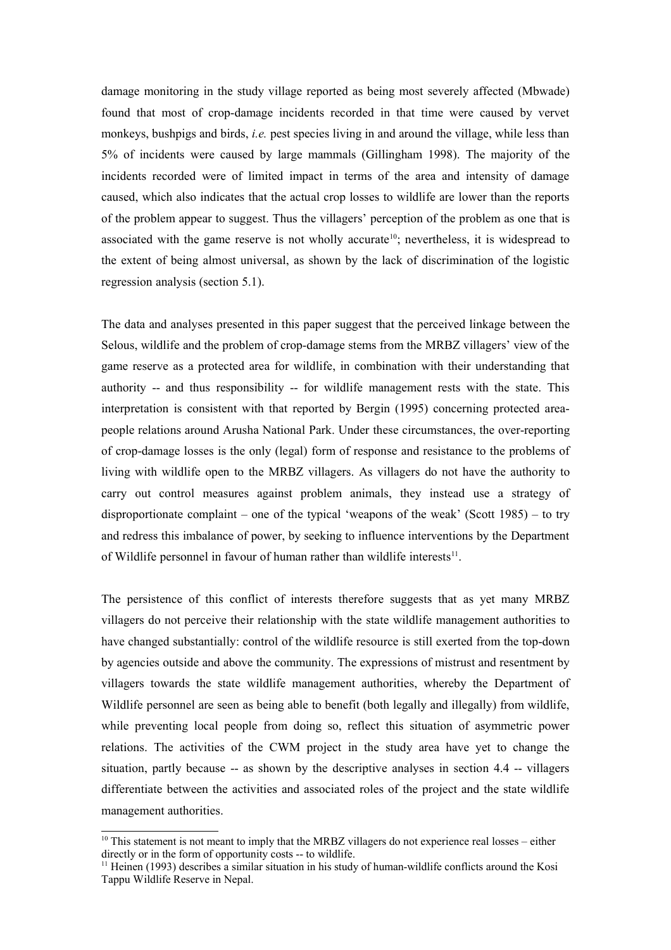damage monitoring in the study village reported as being most severely affected (Mbwade) found that most of crop-damage incidents recorded in that time were caused by vervet monkeys, bushpigs and birds, *i.e.* pest species living in and around the village, while less than 5% of incidents were caused by large mammals (Gillingham 1998). The majority of the incidents recorded were of limited impact in terms of the area and intensity of damage caused, which also indicates that the actual crop losses to wildlife are lower than the reports of the problem appear to suggest. Thus the villagers' perception of the problem as one that is associated with the game reserve is not wholly accurate<sup>10</sup>; nevertheless, it is widespread to the extent of being almost universal, as shown by the lack of discrimination of the logistic regression analysis (section 5.1).

The data and analyses presented in this paper suggest that the perceived linkage between the Selous, wildlife and the problem of crop-damage stems from the MRBZ villagers' view of the game reserve as a protected area for wildlife, in combination with their understanding that authority -- and thus responsibility -- for wildlife management rests with the state. This interpretation is consistent with that reported by Bergin (1995) concerning protected areapeople relations around Arusha National Park. Under these circumstances, the over-reporting of crop-damage losses is the only (legal) form of response and resistance to the problems of living with wildlife open to the MRBZ villagers. As villagers do not have the authority to carry out control measures against problem animals, they instead use a strategy of disproportionate complaint – one of the typical 'weapons of the weak' (Scott 1985) – to try and redress this imbalance of power, by seeking to influence interventions by the Department of Wildlife personnel in favour of human rather than wildlife interests<sup>11</sup>.

The persistence of this conflict of interests therefore suggests that as yet many MRBZ villagers do not perceive their relationship with the state wildlife management authorities to have changed substantially: control of the wildlife resource is still exerted from the top-down by agencies outside and above the community. The expressions of mistrust and resentment by villagers towards the state wildlife management authorities, whereby the Department of Wildlife personnel are seen as being able to benefit (both legally and illegally) from wildlife, while preventing local people from doing so, reflect this situation of asymmetric power relations. The activities of the CWM project in the study area have yet to change the situation, partly because -- as shown by the descriptive analyses in section 4.4 -- villagers differentiate between the activities and associated roles of the project and the state wildlife management authorities.

<sup>&</sup>lt;sup>10</sup> This statement is not meant to imply that the MRBZ villagers do not experience real losses – either directly or in the form of opportunity costs -- to wildlife.

<sup>&</sup>lt;sup>11</sup> Heinen (1993) describes a similar situation in his study of human-wildlife conflicts around the Kosi Tappu Wildlife Reserve in Nepal.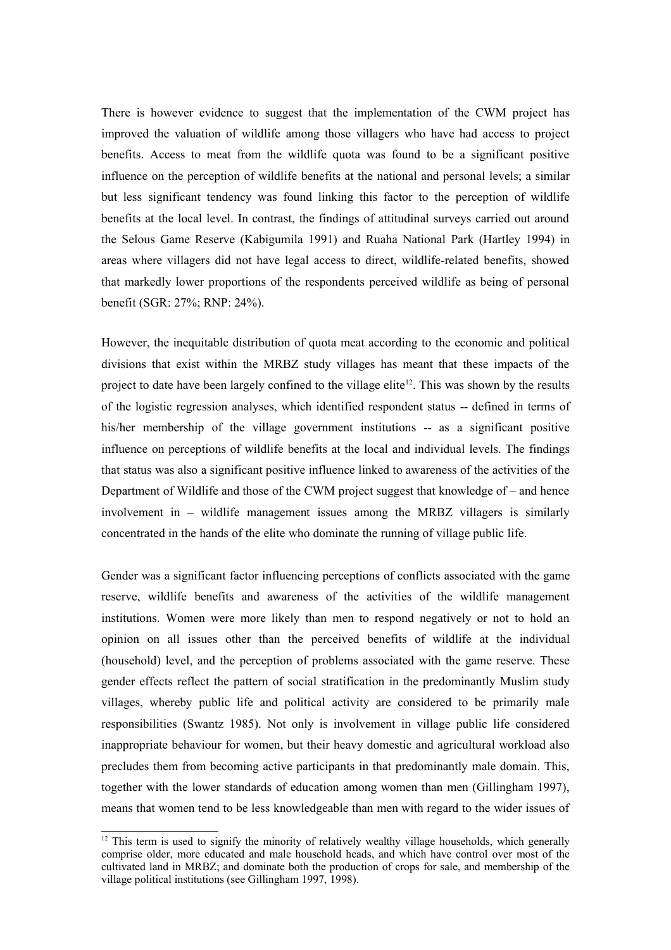There is however evidence to suggest that the implementation of the CWM project has improved the valuation of wildlife among those villagers who have had access to project benefits. Access to meat from the wildlife quota was found to be a significant positive influence on the perception of wildlife benefits at the national and personal levels; a similar but less significant tendency was found linking this factor to the perception of wildlife benefits at the local level. In contrast, the findings of attitudinal surveys carried out around the Selous Game Reserve (Kabigumila 1991) and Ruaha National Park (Hartley 1994) in areas where villagers did not have legal access to direct, wildlife-related benefits, showed that markedly lower proportions of the respondents perceived wildlife as being of personal benefit (SGR: 27%; RNP: 24%).

However, the inequitable distribution of quota meat according to the economic and political divisions that exist within the MRBZ study villages has meant that these impacts of the project to date have been largely confined to the village elite<sup>12</sup>. This was shown by the results of the logistic regression analyses, which identified respondent status -- defined in terms of his/her membership of the village government institutions -- as a significant positive influence on perceptions of wildlife benefits at the local and individual levels. The findings that status was also a significant positive influence linked to awareness of the activities of the Department of Wildlife and those of the CWM project suggest that knowledge of – and hence involvement in – wildlife management issues among the MRBZ villagers is similarly concentrated in the hands of the elite who dominate the running of village public life.

Gender was a significant factor influencing perceptions of conflicts associated with the game reserve, wildlife benefits and awareness of the activities of the wildlife management institutions. Women were more likely than men to respond negatively or not to hold an opinion on all issues other than the perceived benefits of wildlife at the individual (household) level, and the perception of problems associated with the game reserve. These gender effects reflect the pattern of social stratification in the predominantly Muslim study villages, whereby public life and political activity are considered to be primarily male responsibilities (Swantz 1985). Not only is involvement in village public life considered inappropriate behaviour for women, but their heavy domestic and agricultural workload also precludes them from becoming active participants in that predominantly male domain. This, together with the lower standards of education among women than men (Gillingham 1997), means that women tend to be less knowledgeable than men with regard to the wider issues of

 $12$  This term is used to signify the minority of relatively wealthy village households, which generally comprise older, more educated and male household heads, and which have control over most of the cultivated land in MRBZ; and dominate both the production of crops for sale, and membership of the village political institutions (see Gillingham 1997, 1998).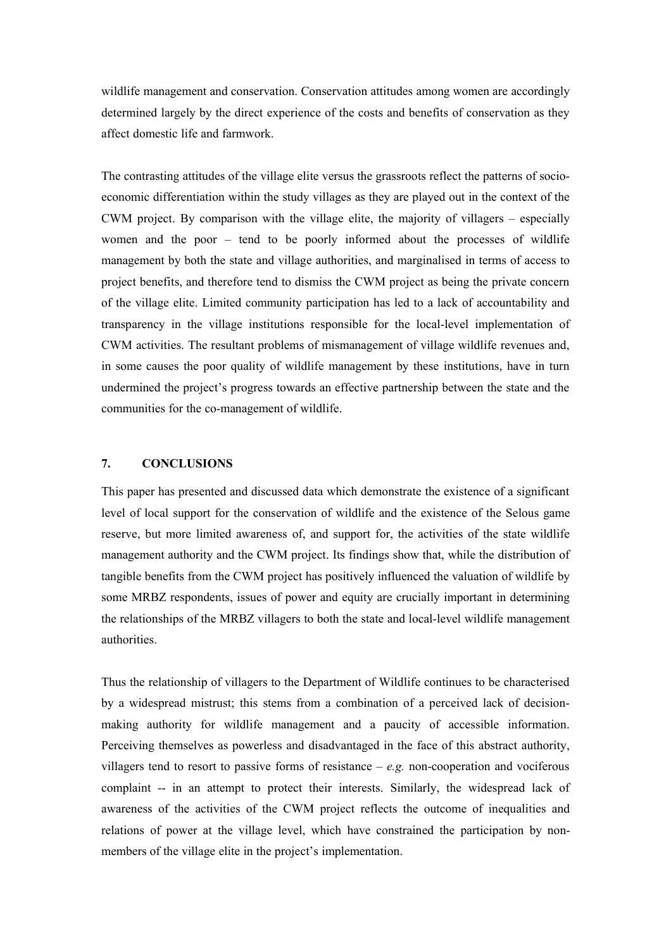wildlife management and conservation. Conservation attitudes among women are accordingly determined largely by the direct experience of the costs and benefits of conservation as they affect domestic life and farmwork.

The contrasting attitudes of the village elite versus the grassroots reflect the patterns of socioeconomic differentiation within the study villages as they are played out in the context of the CWM project. By comparison with the village elite, the majority of villagers – especially women and the poor – tend to be poorly informed about the processes of wildlife management by both the state and village authorities, and marginalised in terms of access to project benefits, and therefore tend to dismiss the CWM project as being the private concern of the village elite. Limited community participation has led to a lack of accountability and transparency in the village institutions responsible for the local-level implementation of CWM activities. The resultant problems of mismanagement of village wildlife revenues and, in some causes the poor quality of wildlife management by these institutions, have in turn undermined the project's progress towards an effective partnership between the state and the communities for the co-management of wildlife.

## **7. CONCLUSIONS**

This paper has presented and discussed data which demonstrate the existence of a significant level of local support for the conservation of wildlife and the existence of the Selous game reserve, but more limited awareness of, and support for, the activities of the state wildlife management authority and the CWM project. Its findings show that, while the distribution of tangible benefits from the CWM project has positively influenced the valuation of wildlife by some MRBZ respondents, issues of power and equity are crucially important in determining the relationships of the MRBZ villagers to both the state and local-level wildlife management authorities.

Thus the relationship of villagers to the Department of Wildlife continues to be characterised by a widespread mistrust; this stems from a combination of a perceived lack of decisionmaking authority for wildlife management and a paucity of accessible information. Perceiving themselves as powerless and disadvantaged in the face of this abstract authority, villagers tend to resort to passive forms of resistance – *e.g.* non-cooperation and vociferous complaint -- in an attempt to protect their interests. Similarly, the widespread lack of awareness of the activities of the CWM project reflects the outcome of inequalities and relations of power at the village level, which have constrained the participation by nonmembers of the village elite in the project's implementation.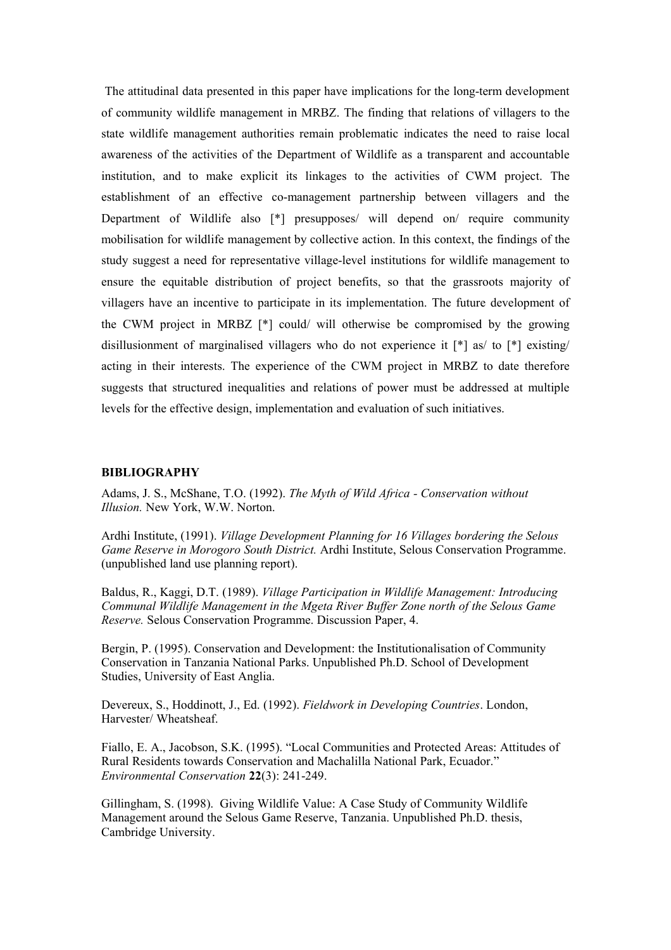The attitudinal data presented in this paper have implications for the long-term development of community wildlife management in MRBZ. The finding that relations of villagers to the state wildlife management authorities remain problematic indicates the need to raise local awareness of the activities of the Department of Wildlife as a transparent and accountable institution, and to make explicit its linkages to the activities of CWM project. The establishment of an effective co-management partnership between villagers and the Department of Wildlife also [\*] presupposes/ will depend on/ require community mobilisation for wildlife management by collective action. In this context, the findings of the study suggest a need for representative village-level institutions for wildlife management to ensure the equitable distribution of project benefits, so that the grassroots majority of villagers have an incentive to participate in its implementation. The future development of the CWM project in MRBZ [\*] could/ will otherwise be compromised by the growing disillusionment of marginalised villagers who do not experience it [\*] as/ to [\*] existing/ acting in their interests. The experience of the CWM project in MRBZ to date therefore suggests that structured inequalities and relations of power must be addressed at multiple levels for the effective design, implementation and evaluation of such initiatives.

#### **BIBLIOGRAPHY**

Adams, J. S., McShane, T.O. (1992). *The Myth of Wild Africa - Conservation without Illusion.* New York, W.W. Norton.

Ardhi Institute, (1991). *Village Development Planning for 16 Villages bordering the Selous Game Reserve in Morogoro South District.* Ardhi Institute, Selous Conservation Programme. (unpublished land use planning report).

Baldus, R., Kaggi, D.T. (1989). *Village Participation in Wildlife Management: Introducing Communal Wildlife Management in the Mgeta River Buffer Zone north of the Selous Game Reserve.* Selous Conservation Programme. Discussion Paper, 4.

Bergin, P. (1995). Conservation and Development: the Institutionalisation of Community Conservation in Tanzania National Parks. Unpublished Ph.D. School of Development Studies, University of East Anglia.

Devereux, S., Hoddinott, J., Ed. (1992). *Fieldwork in Developing Countries*. London, Harvester/ Wheatsheaf.

Fiallo, E. A., Jacobson, S.K. (1995). "Local Communities and Protected Areas: Attitudes of Rural Residents towards Conservation and Machalilla National Park, Ecuador." *Environmental Conservation* **22**(3): 241-249.

Gillingham, S. (1998). Giving Wildlife Value: A Case Study of Community Wildlife Management around the Selous Game Reserve, Tanzania. Unpublished Ph.D. thesis, Cambridge University.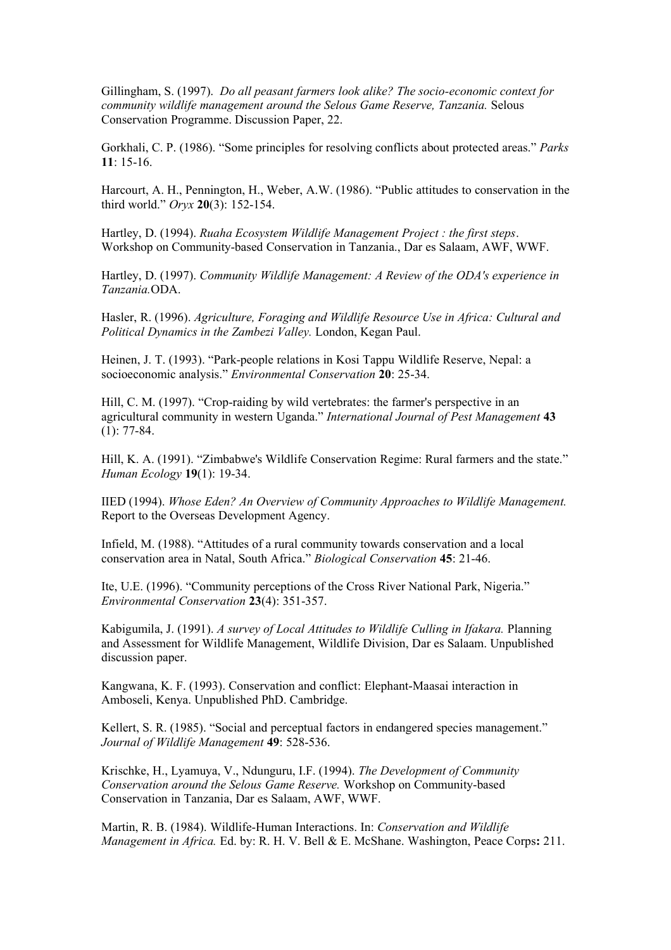Gillingham, S. (1997). *Do all peasant farmers look alike? The socio-economic context for community wildlife management around the Selous Game Reserve, Tanzania.* Selous Conservation Programme. Discussion Paper, 22.

Gorkhali, C. P. (1986). "Some principles for resolving conflicts about protected areas." *Parks* **11**: 15-16.

Harcourt, A. H., Pennington, H., Weber, A.W. (1986). "Public attitudes to conservation in the third world." *Oryx* **20**(3): 152-154.

Hartley, D. (1994). *Ruaha Ecosystem Wildlife Management Project : the first steps*. Workshop on Community-based Conservation in Tanzania., Dar es Salaam, AWF, WWF.

Hartley, D. (1997). *Community Wildlife Management: A Review of the ODA's experience in Tanzania.*ODA.

Hasler, R. (1996). *Agriculture, Foraging and Wildlife Resource Use in Africa: Cultural and Political Dynamics in the Zambezi Valley.* London, Kegan Paul.

Heinen, J. T. (1993). "Park-people relations in Kosi Tappu Wildlife Reserve, Nepal: a socioeconomic analysis." *Environmental Conservation* **20**: 25-34.

Hill, C. M. (1997). "Crop-raiding by wild vertebrates: the farmer's perspective in an agricultural community in western Uganda." *International Journal of Pest Management* **43** (1): 77-84.

Hill, K. A. (1991). "Zimbabwe's Wildlife Conservation Regime: Rural farmers and the state." *Human Ecology* **19**(1): 19-34.

IIED (1994). *Whose Eden? An Overview of Community Approaches to Wildlife Management.* Report to the Overseas Development Agency.

Infield, M. (1988). "Attitudes of a rural community towards conservation and a local conservation area in Natal, South Africa." *Biological Conservation* **45**: 21-46.

Ite, U.E. (1996). "Community perceptions of the Cross River National Park, Nigeria." *Environmental Conservation* **23**(4): 351-357.

Kabigumila, J. (1991). *A survey of Local Attitudes to Wildlife Culling in Ifakara.* Planning and Assessment for Wildlife Management, Wildlife Division, Dar es Salaam. Unpublished discussion paper.

Kangwana, K. F. (1993). Conservation and conflict: Elephant-Maasai interaction in Amboseli, Kenya. Unpublished PhD. Cambridge.

Kellert, S. R. (1985). "Social and perceptual factors in endangered species management." *Journal of Wildlife Management* **49**: 528-536.

Krischke, H., Lyamuya, V., Ndunguru, I.F. (1994). *The Development of Community Conservation around the Selous Game Reserve.* Workshop on Community-based Conservation in Tanzania, Dar es Salaam, AWF, WWF.

Martin, R. B. (1984). Wildlife-Human Interactions. In: *Conservation and Wildlife Management in Africa.* Ed. by: R. H. V. Bell & E. McShane. Washington, Peace Corps**:** 211.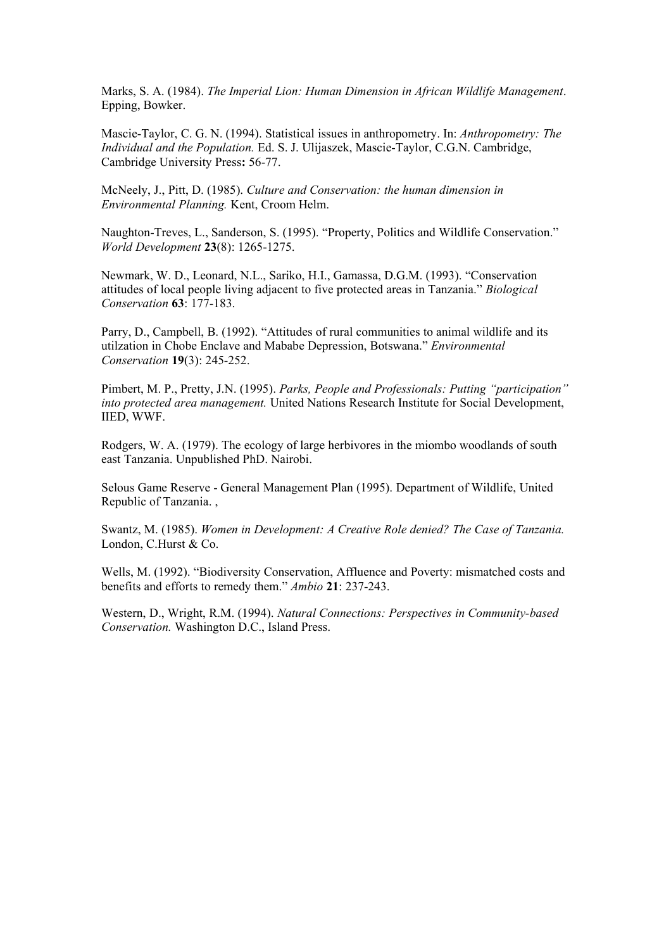Marks, S. A. (1984). *The Imperial Lion: Human Dimension in African Wildlife Management*. Epping, Bowker.

Mascie-Taylor, C. G. N. (1994). Statistical issues in anthropometry. In: *Anthropometry: The Individual and the Population.* Ed. S. J. Ulijaszek, Mascie-Taylor, C.G.N. Cambridge, Cambridge University Press**:** 56-77.

McNeely, J., Pitt, D. (1985). *Culture and Conservation: the human dimension in Environmental Planning.* Kent, Croom Helm.

Naughton-Treves, L., Sanderson, S. (1995). "Property, Politics and Wildlife Conservation." *World Development* **23**(8): 1265-1275.

Newmark, W. D., Leonard, N.L., Sariko, H.I., Gamassa, D.G.M. (1993). "Conservation attitudes of local people living adjacent to five protected areas in Tanzania." *Biological Conservation* **63**: 177-183.

Parry, D., Campbell, B. (1992). "Attitudes of rural communities to animal wildlife and its utilzation in Chobe Enclave and Mababe Depression, Botswana." *Environmental Conservation* **19**(3): 245-252.

Pimbert, M. P., Pretty, J.N. (1995). *Parks, People and Professionals: Putting "participation" into protected area management.* United Nations Research Institute for Social Development, IIED, WWF.

Rodgers, W. A. (1979). The ecology of large herbivores in the miombo woodlands of south east Tanzania. Unpublished PhD. Nairobi.

Selous Game Reserve - General Management Plan (1995). Department of Wildlife, United Republic of Tanzania. ,

Swantz, M. (1985). *Women in Development: A Creative Role denied? The Case of Tanzania.* London, C.Hurst & Co.

Wells, M. (1992). "Biodiversity Conservation, Affluence and Poverty: mismatched costs and benefits and efforts to remedy them." *Ambio* **21**: 237-243.

Western, D., Wright, R.M. (1994). *Natural Connections: Perspectives in Community-based Conservation.* Washington D.C., Island Press.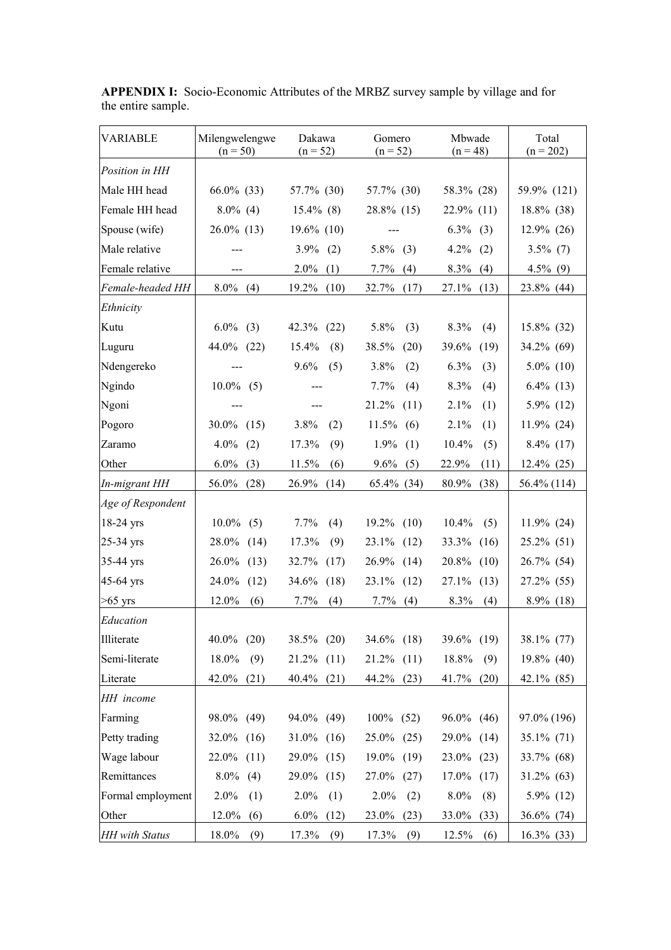| VARIABLE              | Milengwelengwe<br>$(n = 50)$ | Dakawa<br>$(n = 52)$ | Gomero<br>$(n = 52)$ | Mbwade<br>$(n = 48)$ | Total<br>$(n = 202)$ |
|-----------------------|------------------------------|----------------------|----------------------|----------------------|----------------------|
| Position in HH        |                              |                      |                      |                      |                      |
| Male HH head          | $66.0\%$ (33)                | 57.7% (30)           | 57.7% (30)           | 58.3% (28)           | 59.9% (121)          |
| Female HH head        | $8.0\%$ (4)                  | $15.4\%$ (8)         | 28.8% (15)           | $22.9\%$ (11)        | 18.8% (38)           |
| Spouse (wife)         | $26.0\%$ (13)                | $19.6\%$ (10)        |                      | $6.3\%$ (3)          | $12.9\%$ (26)        |
| Male relative         |                              | 3.9%<br>(2)          | 5.8%<br>(3)          | 4.2%<br>(2)          | $3.5\%$ (7)          |
| Female relative       |                              | 2.0%<br>(1)          | 7.7%<br>(4)          | 8.3%<br>(4)          | $4.5\%$ (9)          |
| Female-headed HH      | $8.0\%$ (4)                  | 19.2%<br>(10)        | 32.7%<br>(17)        | 27.1%<br>(13)        | 23.8% (44)           |
| Ethnicity             |                              |                      |                      |                      |                      |
| Kutu                  | $6.0\%$<br>(3)               | 42.3%<br>(22)        | 5.8%<br>(3)          | 8.3%<br>(4)          | $15.8\%$ (32)        |
| Luguru                | $44.0\%$ (22)                | 15.4%<br>(8)         | 38.5%<br>(20)        | 39.6%<br>(19)        | 34.2% (69)           |
| Ndengereko            |                              | 9.6%<br>(5)          | 3.8%<br>(2)          | 6.3%<br>(3)          | $5.0\%$ (10)         |
| Ngindo                | $10.0\%$<br>(5)              | $\frac{1}{2}$        | 7.7%<br>(4)          | 8.3%<br>(4)          | $6.4\%$ (13)         |
| Ngoni                 |                              |                      | 21.2%<br>(11)        | 2.1%<br>(1)          | 5.9% (12)            |
| Pogoro                | $30.0\%$<br>(15)             | 3.8%<br>(2)          | 11.5%<br>(6)         | 2.1%<br>(1)          | 11.9% (24)           |
| Zaramo                | 4.0%<br>(2)                  | 17.3%<br>(9)         | 1.9%<br>(1)          | 10.4%<br>(5)         | $8.4\%$ (17)         |
| Other                 | $6.0\%$<br>(3)               | 11.5%<br>(6)         | 9.6%<br>(5)          | 22.9%<br>(11)        | $12.4\%$ (25)        |
| In-migrant HH         | 56.0%<br>(28)                | 26.9%<br>(14)        | 65.4% (34)           | 80.9%<br>(38)        | 56.4% (114)          |
| Age of Respondent     |                              |                      |                      |                      |                      |
| $18-24$ yrs           | $10.0\%$<br>(5)              | 7.7%<br>(4)          | 19.2%<br>(10)        | 10.4%<br>(5)         | $11.9\%$ (24)        |
| $25-34$ yrs           | 28.0% (14)                   | 17.3%<br>(9)         | 23.1%<br>(12)        | 33.3%<br>(16)        | $25.2\%$ (51)        |
| $35-44$ yrs           | $26.0\%$ (13)                | 32.7%<br>(17)        | 26.9%<br>(14)        | 20.8%<br>(10)        | 26.7% (54)           |
| 45-64 yrs             | 24.0%<br>(12)                | 34.6%<br>(18)        | 23.1%<br>(12)        | 27.1%<br>(13)        | 27.2% (55)           |
| $>65$ yrs             | 12.0%<br>(6)                 | 7.7%<br>(4)          | 7.7%<br>(4)          | 8.3%<br>(4)          | $8.9\%$ (18)         |
| Education             |                              |                      |                      |                      |                      |
| Illiterate            | $40.0\%$<br>(20)             | 38.5% (20)           | $34.6\%$ (18)        | 39.6% (19)           | 38.1% (77)           |
| Semi-literate         | 18.0%<br>(9)                 | $21.2\%$ (11)        | 21.2%<br>(11)        | 18.8%<br>(9)         | $19.8\%$ (40)        |
| Literate              | 42.0%<br>(21)                | 40.4% (21)           | 44.2%<br>(23)        | 41.7%<br>(20)        | $42.1\%$ (85)        |
| HH income             |                              |                      |                      |                      |                      |
| Farming               | 98.0% (49)                   | 94.0% (49)           | $100\%$ (52)         | 96.0% (46)           | 97.0% (196)          |
| Petty trading         | $32.0\%$ (16)                | $31.0\%$ (16)        | $25.0\%$ (25)        | 29.0% (14)           | $35.1\%$ (71)        |
| Wage labour           | 22.0%<br>(11)                | 29.0% (15)           | 19.0%<br>(19)        | $23.0\%$ (23)        | 33.7% (68)           |
| Remittances           | 8.0%<br>(4)                  | 29.0%<br>(15)        | 27.0%<br>(27)        | $17.0\%$ (17)        | $31.2\%$ (63)        |
| Formal employment     | 2.0%<br>(1)                  | 2.0%<br>(1)          | 2.0%<br>(2)          | 8.0%<br>(8)          | $5.9\%$ (12)         |
| Other                 | 12.0%<br>(6)                 | $6.0\%$<br>(12)      | 23.0%<br>(23)        | 33.0%<br>(33)        | 36.6% (74)           |
| <b>HH</b> with Status | 18.0%<br>(9)                 | 17.3%<br>(9)         | 17.3%<br>(9)         | 12.5%<br>(6)         | 16.3% (33)           |

**APPENDIX I:** Socio-Economic Attributes of the MRBZ survey sample by village and for the entire sample.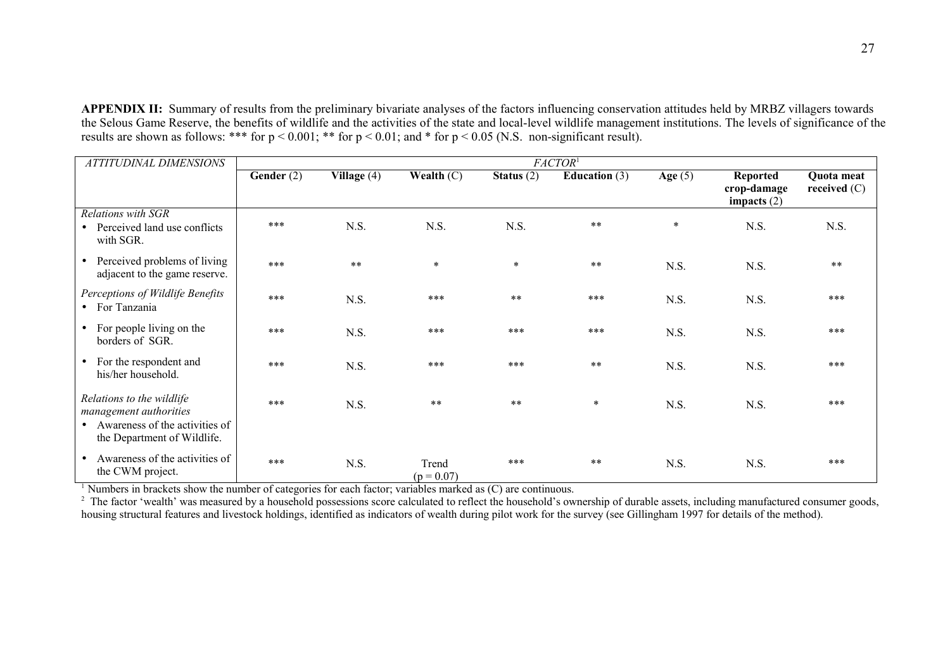**APPENDIX II:** Summary of results from the preliminary bivariate analyses of the factors influencing conservation attitudes held by MRBZ villagers towards the Selous Game Reserve, the benefits of wildlife and the activities of the state and local-level wildlife management institutions. The levels of significance of the results are shown as follows: \*\*\* for  $p < 0.001$ ; \*\* for  $p < 0.01$ ; and \* for  $p < 0.05$  (N.S. non-significant result).

| <b>ATTITUDINAL DIMENSIONS</b>                                                                                          | FACTOR <sup>1</sup> |               |                       |              |                 |           |                                          |                              |
|------------------------------------------------------------------------------------------------------------------------|---------------------|---------------|-----------------------|--------------|-----------------|-----------|------------------------------------------|------------------------------|
|                                                                                                                        | Gender (2)          | Village $(4)$ | Wealth $(C)$          | Status $(2)$ | Education $(3)$ | Age $(5)$ | Reported<br>crop-damage<br>impacts $(2)$ | Quota meat<br>received $(C)$ |
| Relations with SGR<br>• Perceived land use conflicts<br>with SGR.                                                      | ***                 | N.S.          | N.S.                  | N.S.         | $**$            | $\ast$    | N.S.                                     | N.S.                         |
| • Perceived problems of living<br>adjacent to the game reserve.                                                        | ***                 | $***$         | $\star$               | $\ast$       | $**$            | N.S.      | N.S.                                     | $***$                        |
| Perceptions of Wildlife Benefits<br>• For Tanzania                                                                     | ***                 | N.S.          | ***                   | $***$        | $***$           | N.S.      | N.S.                                     | $***$                        |
| • For people living on the<br>borders of SGR.                                                                          | ***                 | N.S.          | ***                   | ***          | $***$           | N.S.      | N.S.                                     | $***$                        |
| • For the respondent and<br>his/her household.                                                                         | ***                 | N.S.          | ***                   | ***          | $\star\star$    | N.S.      | N.S.                                     | $***$                        |
| Relations to the wildlife<br>management authorities<br>• Awareness of the activities of<br>the Department of Wildlife. | ***                 | N.S.          | $**$                  | $***$        | $\ast$          | N.S.      | N.S.                                     | $***$                        |
| Awareness of the activities of<br>the CWM project.                                                                     | ***                 | N.S.          | Trend<br>$(p = 0.07)$ | ***          | $***$           | N.S.      | N.S.                                     | $***$                        |

<sup>1</sup> Numbers in brackets show the number of categories for each factor; variables marked as  $(C)$  are continuous.

<sup>2</sup> The factor 'wealth' was measured by a household possessions score calculated to reflect the household's ownership of durable assets, including manufactured consumer goods, housing structural features and livestock holdings, identified as indicators of wealth during pilot work for the survey (see Gillingham 1997 for details of the method).